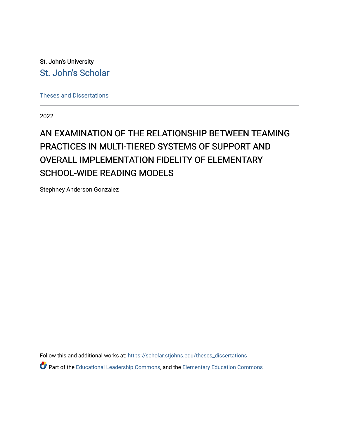St. John's University [St. John's Scholar](https://scholar.stjohns.edu/) 

[Theses and Dissertations](https://scholar.stjohns.edu/theses_dissertations)

2022

# AN EXAMINATION OF THE RELATIONSHIP BETWEEN TEAMING PRACTICES IN MULTI-TIERED SYSTEMS OF SUPPORT AND OVERALL IMPLEMENTATION FIDELITY OF ELEMENTARY SCHOOL-WIDE READING MODELS

Stephney Anderson Gonzalez

Follow this and additional works at: [https://scholar.stjohns.edu/theses\\_dissertations](https://scholar.stjohns.edu/theses_dissertations?utm_source=scholar.stjohns.edu%2Ftheses_dissertations%2F368&utm_medium=PDF&utm_campaign=PDFCoverPages)

Part of the [Educational Leadership Commons,](http://network.bepress.com/hgg/discipline/1230?utm_source=scholar.stjohns.edu%2Ftheses_dissertations%2F368&utm_medium=PDF&utm_campaign=PDFCoverPages) and the [Elementary Education Commons](http://network.bepress.com/hgg/discipline/1378?utm_source=scholar.stjohns.edu%2Ftheses_dissertations%2F368&utm_medium=PDF&utm_campaign=PDFCoverPages)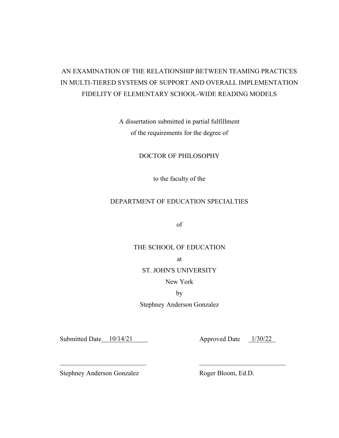## AN EXAMINATION OF THE RELATIONSHIP BETWEEN TEAMING PRACTICES IN MULTI-TIERED SYSTEMS OF SUPPORT AND OVERALL IMPLEMENTATION FIDELITY OF ELEMENTARY SCHOOL-WIDE READING MODELS

A dissertation submitted in partial fulfillment of the requirements for the degree of

### DOCTOR OF PHILOSOPHY

to the faculty of the

## DEPARTMENT OF EDUCATION SPECIALTIES

of

## THE SCHOOL OF EDUCATION

at

#### ST. JOHN'S UNIVERSITY

New York

by

Stephney Anderson Gonzalez

Submitted Date 10/14/21

10/14/21 Approved Date 1/30/22

Stephney Anderson Gonzalez

Roger Bloom, Ed.D.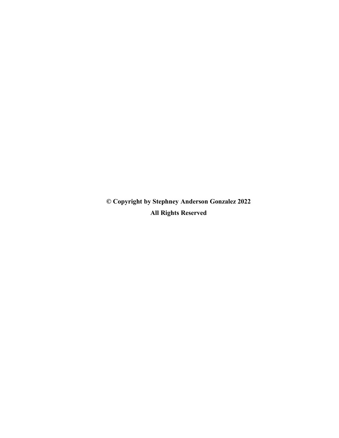**© Copyright by Stephney Anderson Gonzalez 2022 All Rights Reserved**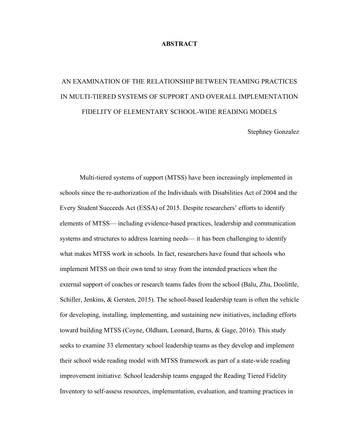#### **ABSTRACT**

# AN EXAMINATION OF THE RELATIONSHIP BETWEEN TEAMING PRACTICES IN MULTI-TIERED SYSTEMS OF SUPPORT AND OVERALL IMPLEMENTATION FIDELITY OF ELEMENTARY SCHOOL-WIDE READING MODELS

Stephney Gonzalez

Multi-tiered systems of support (MTSS) have been increasingly implemented in schools since the re-authorization of the Individuals with Disabilities Act of 2004 and the Every Student Succeeds Act (ESSA) of 2015. Despite researchers' efforts to identify elements of MTSS— including evidence-based practices, leadership and communication systems and structures to address learning needs— it has been challenging to identify what makes MTSS work in schools. In fact, researchers have found that schools who implement MTSS on their own tend to stray from the intended practices when the external support of coaches or research teams fades from the school (Balu, Zhu, Doolittle, Schiller, Jenkins, & Gersten, 2015). The school-based leadership team is often the vehicle for developing, installing, implementing, and sustaining new initiatives, including efforts toward building MTSS (Coyne, Oldham, Leonard, Burns, & Gage, 2016). This study seeks to examine 33 elementary school leadership teams as they develop and implement their school wide reading model with MTSS framework as part of a state-wide reading improvement initiative. School leadership teams engaged the Reading Tiered Fidelity Inventory to self-assess resources, implementation, evaluation, and teaming practices in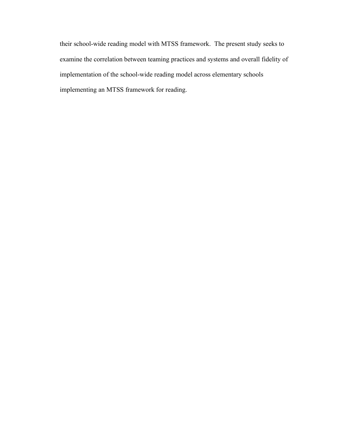their school-wide reading model with MTSS framework. The present study seeks to examine the correlation between teaming practices and systems and overall fidelity of implementation of the school-wide reading model across elementary schools implementing an MTSS framework for reading.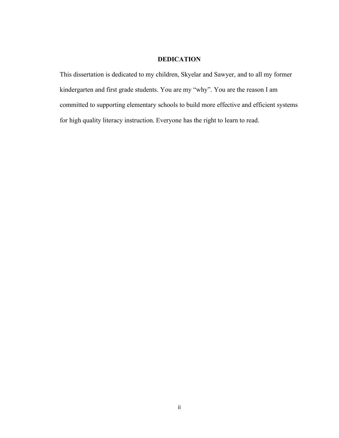### **DEDICATION**

This dissertation is dedicated to my children, Skyelar and Sawyer, and to all my former kindergarten and first grade students. You are my "why". You are the reason I am committed to supporting elementary schools to build more effective and efficient systems for high quality literacy instruction. Everyone has the right to learn to read.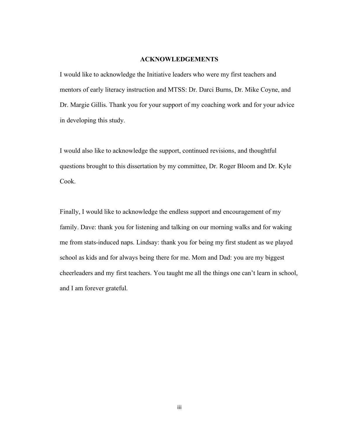#### **ACKNOWLEDGEMENTS**

I would like to acknowledge the Initiative leaders who were my first teachers and mentors of early literacy instruction and MTSS: Dr. Darci Burns, Dr. Mike Coyne, and Dr. Margie Gillis. Thank you for your support of my coaching work and for your advice in developing this study.

I would also like to acknowledge the support, continued revisions, and thoughtful questions brought to this dissertation by my committee, Dr. Roger Bloom and Dr. Kyle Cook.

Finally, I would like to acknowledge the endless support and encouragement of my family. Dave: thank you for listening and talking on our morning walks and for waking me from stats-induced naps. Lindsay: thank you for being my first student as we played school as kids and for always being there for me. Mom and Dad: you are my biggest cheerleaders and my first teachers. You taught me all the things one can't learn in school, and I am forever grateful.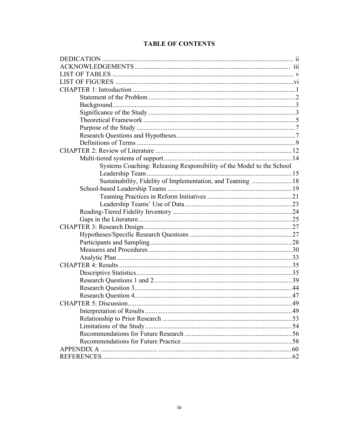|  |  |  | <b>TABLE OF CONTENTS</b> |
|--|--|--|--------------------------|
|  |  |  |                          |

| Systems Coaching: Releasing Responsibility of the Model to the School |  |  |  |  |
|-----------------------------------------------------------------------|--|--|--|--|
|                                                                       |  |  |  |  |
| Sustainability, Fidelity of Implementation, and Teaming 18            |  |  |  |  |
|                                                                       |  |  |  |  |
|                                                                       |  |  |  |  |
|                                                                       |  |  |  |  |
|                                                                       |  |  |  |  |
|                                                                       |  |  |  |  |
|                                                                       |  |  |  |  |
|                                                                       |  |  |  |  |
|                                                                       |  |  |  |  |
|                                                                       |  |  |  |  |
|                                                                       |  |  |  |  |
|                                                                       |  |  |  |  |
|                                                                       |  |  |  |  |
|                                                                       |  |  |  |  |
|                                                                       |  |  |  |  |
|                                                                       |  |  |  |  |
|                                                                       |  |  |  |  |
|                                                                       |  |  |  |  |
|                                                                       |  |  |  |  |
|                                                                       |  |  |  |  |
|                                                                       |  |  |  |  |
|                                                                       |  |  |  |  |
|                                                                       |  |  |  |  |
|                                                                       |  |  |  |  |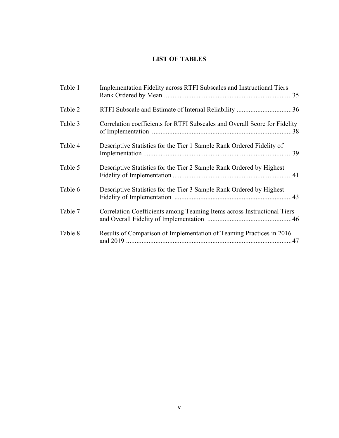## **LIST OF TABLES**

| Table 1 | Implementation Fidelity across RTFI Subscales and Instructional Tiers      |
|---------|----------------------------------------------------------------------------|
| Table 2 |                                                                            |
| Table 3 | Correlation coefficients for RTFI Subscales and Overall Score for Fidelity |
| Table 4 | Descriptive Statistics for the Tier 1 Sample Rank Ordered Fidelity of      |
| Table 5 | Descriptive Statistics for the Tier 2 Sample Rank Ordered by Highest       |
| Table 6 | Descriptive Statistics for the Tier 3 Sample Rank Ordered by Highest       |
| Table 7 | Correlation Coefficients among Teaming Items across Instructional Tiers    |
| Table 8 | Results of Comparison of Implementation of Teaming Practices in 2016       |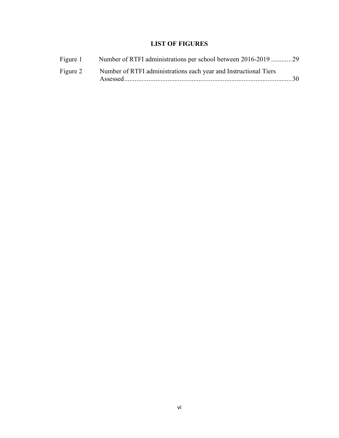## **LIST OF FIGURES**

| Figure 1 | Number of RTFI administrations per school between 2016-2019 29   |  |
|----------|------------------------------------------------------------------|--|
| Figure 2 | Number of RTFI administrations each year and Instructional Tiers |  |
|          |                                                                  |  |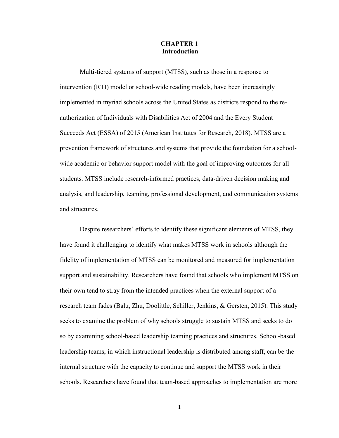#### **CHAPTER 1 Introduction**

Multi-tiered systems of support (MTSS), such as those in a response to intervention (RTI) model or school-wide reading models, have been increasingly implemented in myriad schools across the United States as districts respond to the reauthorization of Individuals with Disabilities Act of 2004 and the Every Student Succeeds Act (ESSA) of 2015 (American Institutes for Research, 2018). MTSS are a prevention framework of structures and systems that provide the foundation for a schoolwide academic or behavior support model with the goal of improving outcomes for all students. MTSS include research-informed practices, data-driven decision making and analysis, and leadership, teaming, professional development, and communication systems and structures.

Despite researchers' efforts to identify these significant elements of MTSS, they have found it challenging to identify what makes MTSS work in schools although the fidelity of implementation of MTSS can be monitored and measured for implementation support and sustainability. Researchers have found that schools who implement MTSS on their own tend to stray from the intended practices when the external support of a research team fades (Balu, Zhu, Doolittle, Schiller, Jenkins, & Gersten, 2015). This study seeks to examine the problem of why schools struggle to sustain MTSS and seeks to do so by examining school-based leadership teaming practices and structures. School-based leadership teams, in which instructional leadership is distributed among staff, can be the internal structure with the capacity to continue and support the MTSS work in their schools. Researchers have found that team-based approaches to implementation are more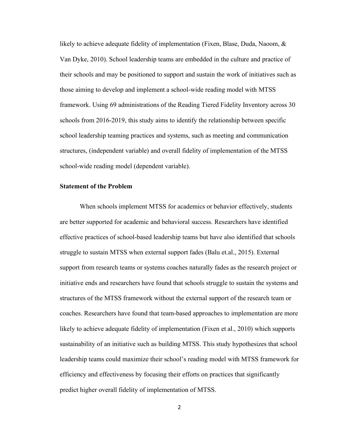likely to achieve adequate fidelity of implementation (Fixen, Blase, Duda, Naoom, & Van Dyke, 2010). School leadership teams are embedded in the culture and practice of their schools and may be positioned to support and sustain the work of initiatives such as those aiming to develop and implement a school-wide reading model with MTSS framework. Using 69 administrations of the Reading Tiered Fidelity Inventory across 30 schools from 2016-2019, this study aims to identify the relationship between specific school leadership teaming practices and systems, such as meeting and communication structures, (independent variable) and overall fidelity of implementation of the MTSS school-wide reading model (dependent variable).

#### **Statement of the Problem**

When schools implement MTSS for academics or behavior effectively, students are better supported for academic and behavioral success. Researchers have identified effective practices of school-based leadership teams but have also identified that schools struggle to sustain MTSS when external support fades (Balu et.al., 2015). External support from research teams or systems coaches naturally fades as the research project or initiative ends and researchers have found that schools struggle to sustain the systems and structures of the MTSS framework without the external support of the research team or coaches. Researchers have found that team-based approaches to implementation are more likely to achieve adequate fidelity of implementation (Fixen et al., 2010) which supports sustainability of an initiative such as building MTSS. This study hypothesizes that school leadership teams could maximize their school's reading model with MTSS framework for efficiency and effectiveness by focusing their efforts on practices that significantly predict higher overall fidelity of implementation of MTSS.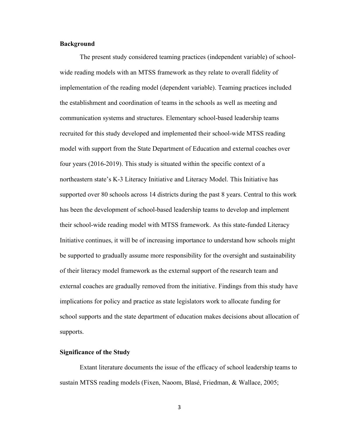#### **Background**

The present study considered teaming practices (independent variable) of schoolwide reading models with an MTSS framework as they relate to overall fidelity of implementation of the reading model (dependent variable). Teaming practices included the establishment and coordination of teams in the schools as well as meeting and communication systems and structures. Elementary school-based leadership teams recruited for this study developed and implemented their school-wide MTSS reading model with support from the State Department of Education and external coaches over four years (2016-2019). This study is situated within the specific context of a northeastern state's K-3 Literacy Initiative and Literacy Model. This Initiative has supported over 80 schools across 14 districts during the past 8 years. Central to this work has been the development of school-based leadership teams to develop and implement their school-wide reading model with MTSS framework. As this state-funded Literacy Initiative continues, it will be of increasing importance to understand how schools might be supported to gradually assume more responsibility for the oversight and sustainability of their literacy model framework as the external support of the research team and external coaches are gradually removed from the initiative. Findings from this study have implications for policy and practice as state legislators work to allocate funding for school supports and the state department of education makes decisions about allocation of supports.

#### **Significance of the Study**

Extant literature documents the issue of the efficacy of school leadership teams to sustain MTSS reading models (Fixen, Naoom, Blasé, Friedman, & Wallace, 2005;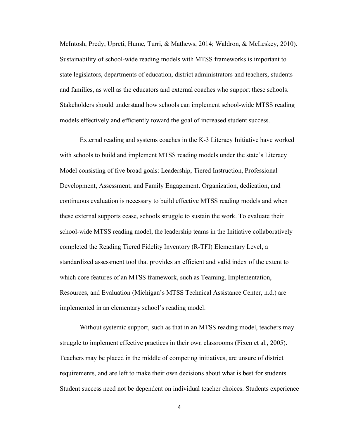McIntosh, Predy, Upreti, Hume, Turri, & Mathews, 2014; Waldron, & McLeskey, 2010). Sustainability of school-wide reading models with MTSS frameworks is important to state legislators, departments of education, district administrators and teachers, students and families, as well as the educators and external coaches who support these schools. Stakeholders should understand how schools can implement school-wide MTSS reading models effectively and efficiently toward the goal of increased student success.

External reading and systems coaches in the K-3 Literacy Initiative have worked with schools to build and implement MTSS reading models under the state's Literacy Model consisting of five broad goals: Leadership, Tiered Instruction, Professional Development, Assessment, and Family Engagement. Organization, dedication, and continuous evaluation is necessary to build effective MTSS reading models and when these external supports cease, schools struggle to sustain the work. To evaluate their school-wide MTSS reading model, the leadership teams in the Initiative collaboratively completed the Reading Tiered Fidelity Inventory (R-TFI) Elementary Level, a standardized assessment tool that provides an efficient and valid index of the extent to which core features of an MTSS framework, such as Teaming, Implementation, Resources, and Evaluation (Michigan's MTSS Technical Assistance Center, n.d.) are implemented in an elementary school's reading model.

Without systemic support, such as that in an MTSS reading model, teachers may struggle to implement effective practices in their own classrooms (Fixen et al., 2005). Teachers may be placed in the middle of competing initiatives, are unsure of district requirements, and are left to make their own decisions about what is best for students. Student success need not be dependent on individual teacher choices. Students experience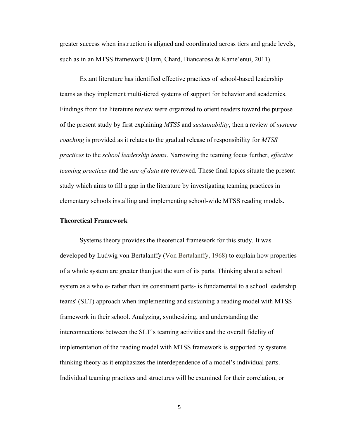greater success when instruction is aligned and coordinated across tiers and grade levels, such as in an MTSS framework (Harn, Chard, Biancarosa & Kame'enui, 2011).

Extant literature has identified effective practices of school-based leadership teams as they implement multi-tiered systems of support for behavior and academics. Findings from the literature review were organized to orient readers toward the purpose of the present study by first explaining *MTSS* and *sustainability*, then a review of *systems coaching* is provided as it relates to the gradual release of responsibility for *MTSS practices* to the *school leadership teams*. Narrowing the teaming focus further, *effective teaming practices* and the *use of data* are reviewed. These final topics situate the present study which aims to fill a gap in the literature by investigating teaming practices in elementary schools installing and implementing school-wide MTSS reading models.

#### **Theoretical Framework**

Systems theory provides the theoretical framework for this study. It was developed by Ludwig von Bertalanffy (Von Bertalanffy, 1968) to explain how properties of a whole system are greater than just the sum of its parts. Thinking about a school system as a whole- rather than its constituent parts- is fundamental to a school leadership teams' (SLT) approach when implementing and sustaining a reading model with MTSS framework in their school. Analyzing, synthesizing, and understanding the interconnections between the SLT's teaming activities and the overall fidelity of implementation of the reading model with MTSS framework is supported by systems thinking theory as it emphasizes the interdependence of a model's individual parts. Individual teaming practices and structures will be examined for their correlation, or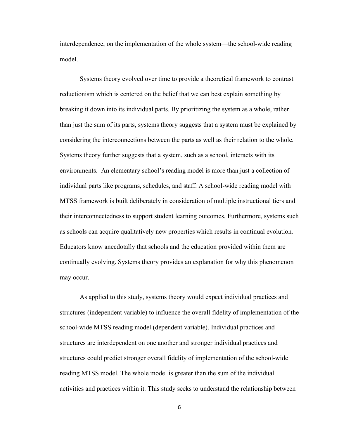interdependence, on the implementation of the whole system—the school-wide reading model.

Systems theory evolved over time to provide a theoretical framework to contrast reductionism which is centered on the belief that we can best explain something by breaking it down into its individual parts. By prioritizing the system as a whole, rather than just the sum of its parts, systems theory suggests that a system must be explained by considering the interconnections between the parts as well as their relation to the whole. Systems theory further suggests that a system, such as a school, interacts with its environments. An elementary school's reading model is more than just a collection of individual parts like programs, schedules, and staff. A school-wide reading model with MTSS framework is built deliberately in consideration of multiple instructional tiers and their interconnectedness to support student learning outcomes. Furthermore, systems such as schools can acquire qualitatively new properties which results in continual evolution. Educators know anecdotally that schools and the education provided within them are continually evolving. Systems theory provides an explanation for why this phenomenon may occur.

As applied to this study, systems theory would expect individual practices and structures (independent variable) to influence the overall fidelity of implementation of the school-wide MTSS reading model (dependent variable). Individual practices and structures are interdependent on one another and stronger individual practices and structures could predict stronger overall fidelity of implementation of the school-wide reading MTSS model. The whole model is greater than the sum of the individual activities and practices within it. This study seeks to understand the relationship between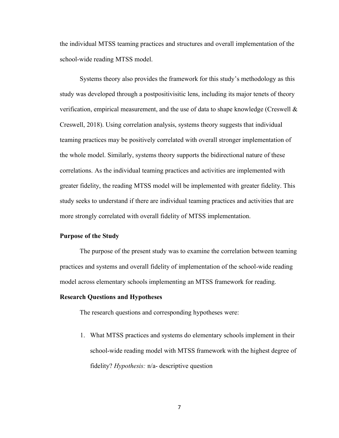the individual MTSS teaming practices and structures and overall implementation of the school-wide reading MTSS model.

Systems theory also provides the framework for this study's methodology as this study was developed through a postpositivisitic lens, including its major tenets of theory verification, empirical measurement, and the use of data to shape knowledge (Creswell  $\&$ Creswell, 2018). Using correlation analysis, systems theory suggests that individual teaming practices may be positively correlated with overall stronger implementation of the whole model. Similarly, systems theory supports the bidirectional nature of these correlations. As the individual teaming practices and activities are implemented with greater fidelity, the reading MTSS model will be implemented with greater fidelity. This study seeks to understand if there are individual teaming practices and activities that are more strongly correlated with overall fidelity of MTSS implementation.

#### **Purpose of the Study**

The purpose of the present study was to examine the correlation between teaming practices and systems and overall fidelity of implementation of the school-wide reading model across elementary schools implementing an MTSS framework for reading.

#### **Research Questions and Hypotheses**

The research questions and corresponding hypotheses were:

1. What MTSS practices and systems do elementary schools implement in their school-wide reading model with MTSS framework with the highest degree of fidelity? *Hypothesis:* n/a- descriptive question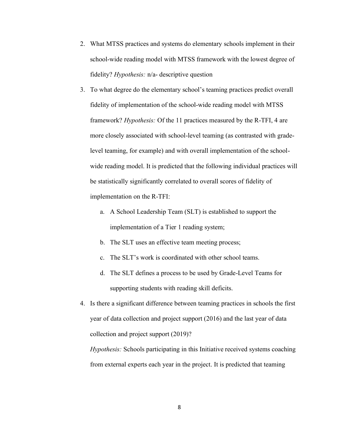- 2. What MTSS practices and systems do elementary schools implement in their school-wide reading model with MTSS framework with the lowest degree of fidelity? *Hypothesis:* n/a- descriptive question
- 3. To what degree do the elementary school's teaming practices predict overall fidelity of implementation of the school-wide reading model with MTSS framework? *Hypothesis:* Of the 11 practices measured by the R-TFI, 4 are more closely associated with school-level teaming (as contrasted with gradelevel teaming, for example) and with overall implementation of the schoolwide reading model. It is predicted that the following individual practices will be statistically significantly correlated to overall scores of fidelity of implementation on the R-TFI:
	- a. A School Leadership Team (SLT) is established to support the implementation of a Tier 1 reading system;
	- b. The SLT uses an effective team meeting process;
	- c. The SLT's work is coordinated with other school teams.
	- d. The SLT defines a process to be used by Grade-Level Teams for supporting students with reading skill deficits.
- 4. Is there a significant difference between teaming practices in schools the first year of data collection and project support (2016) and the last year of data collection and project support (2019)?

*Hypothesis:* Schools participating in this Initiative received systems coaching from external experts each year in the project. It is predicted that teaming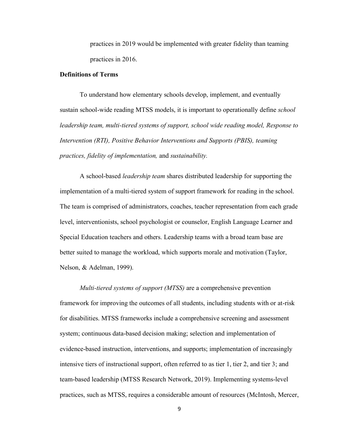practices in 2019 would be implemented with greater fidelity than teaming practices in 2016.

#### **Definitions of Terms**

To understand how elementary schools develop, implement, and eventually sustain school-wide reading MTSS models, it is important to operationally define *school leadership team, multi-tiered systems of support, school wide reading model, Response to Intervention (RTI), Positive Behavior Interventions and Supports (PBIS), teaming practices, fidelity of implementation,* and *sustainability.* 

A school-based *leadership team* shares distributed leadership for supporting the implementation of a multi-tiered system of support framework for reading in the school. The team is comprised of administrators, coaches, teacher representation from each grade level, interventionists, school psychologist or counselor, English Language Learner and Special Education teachers and others. Leadership teams with a broad team base are better suited to manage the workload, which supports morale and motivation (Taylor, Nelson, & Adelman, 1999).

*Multi-tiered systems of support (MTSS)* are a comprehensive prevention framework for improving the outcomes of all students, including students with or at-risk for disabilities. MTSS frameworks include a comprehensive screening and assessment system; continuous data-based decision making; selection and implementation of evidence-based instruction, interventions, and supports; implementation of increasingly intensive tiers of instructional support, often referred to as tier 1, tier 2, and tier 3; and team-based leadership (MTSS Research Network, 2019). Implementing systems-level practices, such as MTSS, requires a considerable amount of resources (McIntosh, Mercer,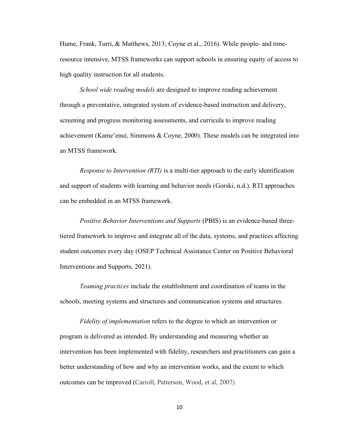Hume, Frank, Turri, & Matthews, 2013; Coyne et al., 2016). While people- and timeresource intensive, MTSS frameworks can support schools in ensuring equity of access to high quality instruction for all students.

*School wide reading models* are designed to improve reading achievement through a preventative, integrated system of evidence-based instruction and delivery, screening and progress monitoring assessments, and curricula to improve reading achievement (Kame'enui, Simmons & Coyne, 2000). These models can be integrated into an MTSS framework.

*Response to Intervention (RTI)* is a multi-tier approach to the early identification and support of students with learning and behavior needs (Gorski, n.d.). RTI approaches can be embedded in an MTSS framework.

*Positive Behavior Interventions and Supports* (PBIS) is an evidence-based threetiered framework to improve and integrate all of the data, systems, and practices affecting student outcomes every day (OSEP Technical Assistance Center on Positive Behavioral Interventions and Supports, 2021).

*Teaming practices* include the establishment and coordination of teams in the schools, meeting systems and structures and communication systems and structures.

*Fidelity of implementation* refers to the degree to which an intervention or program is delivered as intended. By understanding and measuring whether an intervention has been implemented with fidelity, researchers and practitioners can gain a better understanding of how and why an intervention works, and the extent to which outcomes can be improved (Carroll, Patterson, Wood, et al, 2007*).*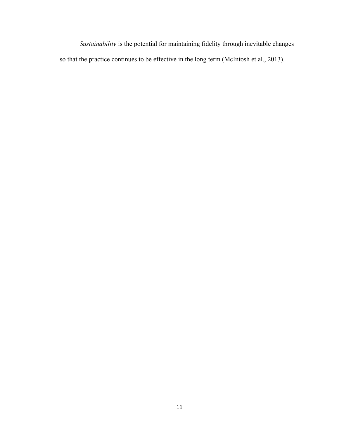*Sustainability* is the potential for maintaining fidelity through inevitable changes so that the practice continues to be effective in the long term (McIntosh et al., 2013).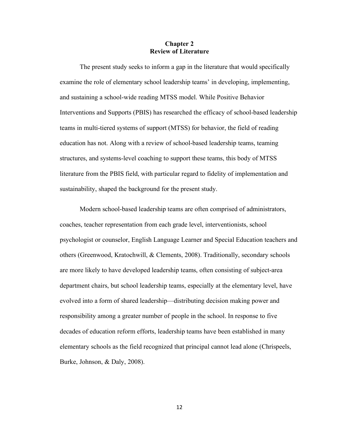#### **Chapter 2 Review of Literature**

The present study seeks to inform a gap in the literature that would specifically examine the role of elementary school leadership teams' in developing, implementing, and sustaining a school-wide reading MTSS model. While Positive Behavior Interventions and Supports (PBIS) has researched the efficacy of school-based leadership teams in multi-tiered systems of support (MTSS) for behavior, the field of reading education has not. Along with a review of school-based leadership teams, teaming structures, and systems-level coaching to support these teams, this body of MTSS literature from the PBIS field, with particular regard to fidelity of implementation and sustainability, shaped the background for the present study.

Modern school-based leadership teams are often comprised of administrators, coaches, teacher representation from each grade level, interventionists, school psychologist or counselor, English Language Learner and Special Education teachers and others (Greenwood, Kratochwill, & Clements, 2008). Traditionally, secondary schools are more likely to have developed leadership teams, often consisting of subject-area department chairs, but school leadership teams, especially at the elementary level, have evolved into a form of shared leadership—distributing decision making power and responsibility among a greater number of people in the school. In response to five decades of education reform efforts, leadership teams have been established in many elementary schools as the field recognized that principal cannot lead alone (Chrispeels, Burke, Johnson, & Daly, 2008).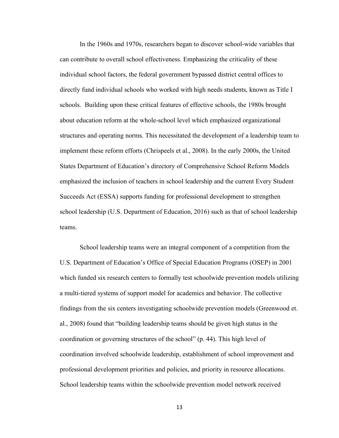In the 1960s and 1970s, researchers began to discover school-wide variables that can contribute to overall school effectiveness. Emphasizing the criticality of these individual school factors, the federal government bypassed district central offices to directly fund individual schools who worked with high needs students, known as Title I schools. Building upon these critical features of effective schools, the 1980s brought about education reform at the whole-school level which emphasized organizational structures and operating norms. This necessitated the development of a leadership team to implement these reform efforts (Chrispeels et al., 2008). In the early 2000s, the United States Department of Education's directory of Comprehensive School Reform Models emphasized the inclusion of teachers in school leadership and the current Every Student Succeeds Act (ESSA) supports funding for professional development to strengthen school leadership (U.S. Department of Education, 2016) such as that of school leadership teams.

School leadership teams were an integral component of a competition from the U.S. Department of Education's Office of Special Education Programs (OSEP) in 2001 which funded six research centers to formally test schoolwide prevention models utilizing a multi-tiered systems of support model for academics and behavior. The collective findings from the six centers investigating schoolwide prevention models (Greenwood et. al., 2008) found that "building leadership teams should be given high status in the coordination or governing structures of the school" (p. 44). This high level of coordination involved schoolwide leadership, establishment of school improvement and professional development priorities and policies, and priority in resource allocations. School leadership teams within the schoolwide prevention model network received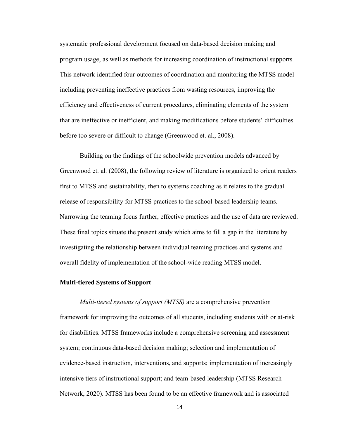systematic professional development focused on data-based decision making and program usage, as well as methods for increasing coordination of instructional supports. This network identified four outcomes of coordination and monitoring the MTSS model including preventing ineffective practices from wasting resources, improving the efficiency and effectiveness of current procedures, eliminating elements of the system that are ineffective or inefficient, and making modifications before students' difficulties before too severe or difficult to change (Greenwood et. al., 2008).

 Building on the findings of the schoolwide prevention models advanced by Greenwood et. al. (2008), the following review of literature is organized to orient readers first to MTSS and sustainability, then to systems coaching as it relates to the gradual release of responsibility for MTSS practices to the school-based leadership teams. Narrowing the teaming focus further, effective practices and the use of data are reviewed. These final topics situate the present study which aims to fill a gap in the literature by investigating the relationship between individual teaming practices and systems and overall fidelity of implementation of the school-wide reading MTSS model.

#### **Multi-tiered Systems of Support**

*Multi-tiered systems of support (MTSS)* are a comprehensive prevention framework for improving the outcomes of all students, including students with or at-risk for disabilities. MTSS frameworks include a comprehensive screening and assessment system; continuous data-based decision making; selection and implementation of evidence-based instruction, interventions, and supports; implementation of increasingly intensive tiers of instructional support; and team-based leadership (MTSS Research Network, 2020). MTSS has been found to be an effective framework and is associated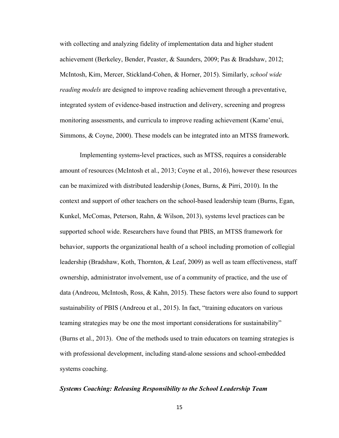with collecting and analyzing fidelity of implementation data and higher student achievement (Berkeley, Bender, Peaster, & Saunders, 2009; Pas & Bradshaw, 2012; McIntosh, Kim, Mercer, Stickland-Cohen, & Horner, 2015). Similarly, *school wide reading models* are designed to improve reading achievement through a preventative, integrated system of evidence-based instruction and delivery, screening and progress monitoring assessments, and curricula to improve reading achievement (Kame'enui, Simmons, & Coyne, 2000). These models can be integrated into an MTSS framework.

Implementing systems-level practices, such as MTSS, requires a considerable amount of resources (McIntosh et al., 2013; Coyne et al., 2016), however these resources can be maximized with distributed leadership (Jones, Burns, & Pirri, 2010). In the context and support of other teachers on the school-based leadership team (Burns, Egan, Kunkel, McComas, Peterson, Rahn, & Wilson, 2013), systems level practices can be supported school wide. Researchers have found that PBIS, an MTSS framework for behavior, supports the organizational health of a school including promotion of collegial leadership (Bradshaw, Koth, Thornton, & Leaf, 2009) as well as team effectiveness, staff ownership, administrator involvement, use of a community of practice, and the use of data (Andreou, McIntosh, Ross, & Kahn, 2015). These factors were also found to support sustainability of PBIS (Andreou et al., 2015). In fact, "training educators on various teaming strategies may be one the most important considerations for sustainability" (Burns et al., 2013). One of the methods used to train educators on teaming strategies is with professional development, including stand-alone sessions and school-embedded systems coaching.

#### *Systems Coaching: Releasing Responsibility to the School Leadership Team*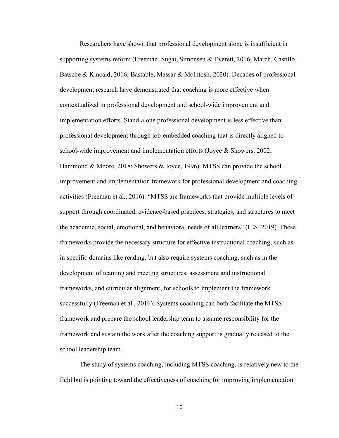Researchers have shown that professional development alone is insufficient in supporting systems reform (Freeman, Sugai, Simonsen & Everett, 2016; March, Castillo, Batsche & Kincaid, 2016; Bastable, Massar & McIntosh, 2020). Decades of professional development research have demonstrated that coaching is more effective when contextualized in professional development and school-wide improvement and implementation efforts. Stand-alone professional development is less effective than professional development through job-embedded coaching that is directly aligned to school-wide improvement and implementation efforts (Joyce & Showers, 2002; Hammond & Moore, 2018; Showers & Joyce, 1996). MTSS can provide the school improvement and implementation framework for professional development and coaching activities (Freeman et al., 2016). "MTSS are frameworks that provide multiple levels of support through coordinated, evidence-based practices, strategies, and structures to meet the academic, social, emotional, and behavioral needs of all learners" (IES, 2019). These frameworks provide the necessary structure for effective instructional coaching, such as in specific domains like reading, but also require systems coaching, such as in the development of teaming and meeting structures, assessment and instructional frameworks, and curricular alignment, for schools to implement the framework successfully (Freeman et al., 2016). Systems coaching can both facilitate the MTSS framework and prepare the school leadership team to assume responsibility for the framework and sustain the work after the coaching support is gradually released to the school leadership team.

The study of systems coaching, including MTSS coaching, is relatively new to the field but is pointing toward the effectiveness of coaching for improving implementation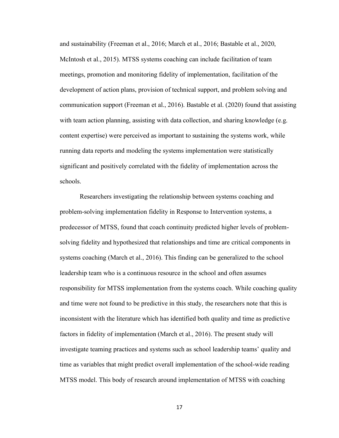and sustainability (Freeman et al., 2016; March et al., 2016; Bastable et al., 2020, McIntosh et al., 2015). MTSS systems coaching can include facilitation of team meetings, promotion and monitoring fidelity of implementation, facilitation of the development of action plans, provision of technical support, and problem solving and communication support (Freeman et al., 2016). Bastable et al. (2020) found that assisting with team action planning, assisting with data collection, and sharing knowledge (e.g. content expertise) were perceived as important to sustaining the systems work, while running data reports and modeling the systems implementation were statistically significant and positively correlated with the fidelity of implementation across the schools.

Researchers investigating the relationship between systems coaching and problem-solving implementation fidelity in Response to Intervention systems, a predecessor of MTSS, found that coach continuity predicted higher levels of problemsolving fidelity and hypothesized that relationships and time are critical components in systems coaching (March et al., 2016). This finding can be generalized to the school leadership team who is a continuous resource in the school and often assumes responsibility for MTSS implementation from the systems coach. While coaching quality and time were not found to be predictive in this study, the researchers note that this is inconsistent with the literature which has identified both quality and time as predictive factors in fidelity of implementation (March et al., 2016). The present study will investigate teaming practices and systems such as school leadership teams' quality and time as variables that might predict overall implementation of the school-wide reading MTSS model. This body of research around implementation of MTSS with coaching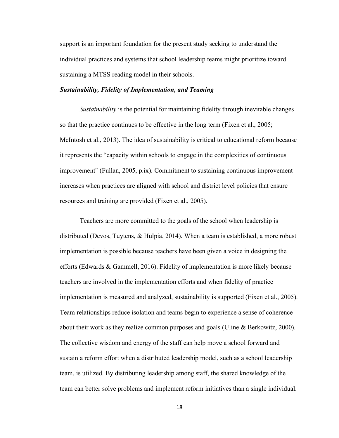support is an important foundation for the present study seeking to understand the individual practices and systems that school leadership teams might prioritize toward sustaining a MTSS reading model in their schools.

#### *Sustainability, Fidelity of Implementation, and Teaming*

*Sustainability* is the potential for maintaining fidelity through inevitable changes so that the practice continues to be effective in the long term (Fixen et al., 2005; McIntosh et al., 2013). The idea of sustainability is critical to educational reform because it represents the "capacity within schools to engage in the complexities of continuous improvement" (Fullan, 2005, p.ix). Commitment to sustaining continuous improvement increases when practices are aligned with school and district level policies that ensure resources and training are provided (Fixen et al., 2005).

Teachers are more committed to the goals of the school when leadership is distributed (Devos, Tuytens, & Hulpia, 2014). When a team is established, a more robust implementation is possible because teachers have been given a voice in designing the efforts (Edwards & Gammell, 2016). Fidelity of implementation is more likely because teachers are involved in the implementation efforts and when fidelity of practice implementation is measured and analyzed, sustainability is supported (Fixen et al., 2005). Team relationships reduce isolation and teams begin to experience a sense of coherence about their work as they realize common purposes and goals (Uline  $\&$  Berkowitz, 2000). The collective wisdom and energy of the staff can help move a school forward and sustain a reform effort when a distributed leadership model, such as a school leadership team, is utilized. By distributing leadership among staff, the shared knowledge of the team can better solve problems and implement reform initiatives than a single individual.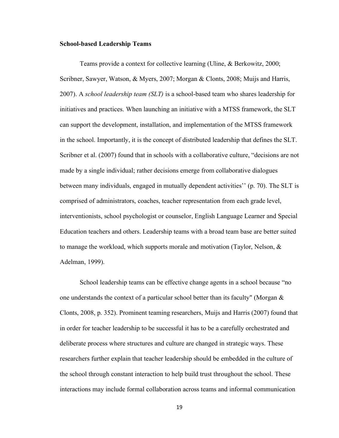#### **School-based Leadership Teams**

Teams provide a context for collective learning (Uline, & Berkowitz, 2000; Scribner, Sawyer, Watson, & Myers, 2007; Morgan & Clonts, 2008; Muijs and Harris, 2007). A *school leadership team (SLT)* is a school-based team who shares leadership for initiatives and practices. When launching an initiative with a MTSS framework, the SLT can support the development, installation, and implementation of the MTSS framework in the school. Importantly, it is the concept of distributed leadership that defines the SLT. Scribner et al. (2007) found that in schools with a collaborative culture, "decisions are not made by a single individual; rather decisions emerge from collaborative dialogues between many individuals, engaged in mutually dependent activities'' (p. 70). The SLT is comprised of administrators, coaches, teacher representation from each grade level, interventionists, school psychologist or counselor, English Language Learner and Special Education teachers and others. Leadership teams with a broad team base are better suited to manage the workload, which supports morale and motivation (Taylor, Nelson,  $\&$ Adelman, 1999).

School leadership teams can be effective change agents in a school because "no one understands the context of a particular school better than its faculty" (Morgan & Clonts, 2008, p. 352). Prominent teaming researchers, Muijs and Harris (2007) found that in order for teacher leadership to be successful it has to be a carefully orchestrated and deliberate process where structures and culture are changed in strategic ways. These researchers further explain that teacher leadership should be embedded in the culture of the school through constant interaction to help build trust throughout the school. These interactions may include formal collaboration across teams and informal communication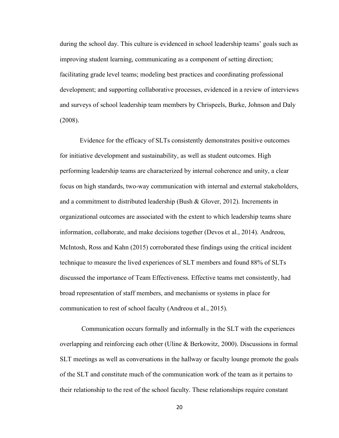during the school day. This culture is evidenced in school leadership teams' goals such as improving student learning, communicating as a component of setting direction; facilitating grade level teams; modeling best practices and coordinating professional development; and supporting collaborative processes, evidenced in a review of interviews and surveys of school leadership team members by Chrispeels, Burke, Johnson and Daly (2008).

Evidence for the efficacy of SLTs consistently demonstrates positive outcomes for initiative development and sustainability, as well as student outcomes. High performing leadership teams are characterized by internal coherence and unity, a clear focus on high standards, two-way communication with internal and external stakeholders, and a commitment to distributed leadership (Bush & Glover, 2012). Increments in organizational outcomes are associated with the extent to which leadership teams share information, collaborate, and make decisions together (Devos et al., 2014). Andreou, McIntosh, Ross and Kahn (2015) corroborated these findings using the critical incident technique to measure the lived experiences of SLT members and found 88% of SLTs discussed the importance of Team Effectiveness. Effective teams met consistently, had broad representation of staff members, and mechanisms or systems in place for communication to rest of school faculty (Andreou et al., 2015).

Communication occurs formally and informally in the SLT with the experiences overlapping and reinforcing each other (Uline & Berkowitz, 2000). Discussions in formal SLT meetings as well as conversations in the hallway or faculty lounge promote the goals of the SLT and constitute much of the communication work of the team as it pertains to their relationship to the rest of the school faculty. These relationships require constant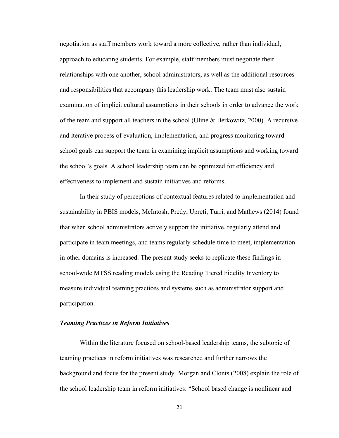negotiation as staff members work toward a more collective, rather than individual, approach to educating students. For example, staff members must negotiate their relationships with one another, school administrators, as well as the additional resources and responsibilities that accompany this leadership work. The team must also sustain examination of implicit cultural assumptions in their schools in order to advance the work of the team and support all teachers in the school (Uline & Berkowitz, 2000). A recursive and iterative process of evaluation, implementation, and progress monitoring toward school goals can support the team in examining implicit assumptions and working toward the school's goals. A school leadership team can be optimized for efficiency and effectiveness to implement and sustain initiatives and reforms.

In their study of perceptions of contextual features related to implementation and sustainability in PBIS models, McIntosh, Predy, Upreti, Turri, and Mathews (2014) found that when school administrators actively support the initiative, regularly attend and participate in team meetings, and teams regularly schedule time to meet, implementation in other domains is increased. The present study seeks to replicate these findings in school-wide MTSS reading models using the Reading Tiered Fidelity Inventory to measure individual teaming practices and systems such as administrator support and participation.

#### *Teaming Practices in Reform Initiatives*

Within the literature focused on school-based leadership teams, the subtopic of teaming practices in reform initiatives was researched and further narrows the background and focus for the present study. Morgan and Clonts (2008) explain the role of the school leadership team in reform initiatives: "School based change is nonlinear and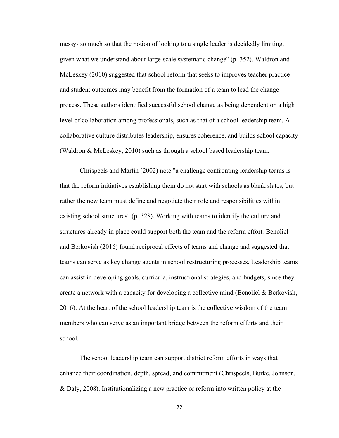messy- so much so that the notion of looking to a single leader is decidedly limiting, given what we understand about large-scale systematic change" (p. 352). Waldron and McLeskey (2010) suggested that school reform that seeks to improves teacher practice and student outcomes may benefit from the formation of a team to lead the change process. These authors identified successful school change as being dependent on a high level of collaboration among professionals, such as that of a school leadership team. A collaborative culture distributes leadership, ensures coherence, and builds school capacity (Waldron & McLeskey, 2010) such as through a school based leadership team.

Chrispeels and Martin (2002) note "a challenge confronting leadership teams is that the reform initiatives establishing them do not start with schools as blank slates, but rather the new team must define and negotiate their role and responsibilities within existing school structures" (p. 328). Working with teams to identify the culture and structures already in place could support both the team and the reform effort. Benoliel and Berkovish (2016) found reciprocal effects of teams and change and suggested that teams can serve as key change agents in school restructuring processes. Leadership teams can assist in developing goals, curricula, instructional strategies, and budgets, since they create a network with a capacity for developing a collective mind (Benoliel & Berkovish, 2016). At the heart of the school leadership team is the collective wisdom of the team members who can serve as an important bridge between the reform efforts and their school.

The school leadership team can support district reform efforts in ways that enhance their coordination, depth, spread, and commitment (Chrispeels, Burke, Johnson, & Daly, 2008). Institutionalizing a new practice or reform into written policy at the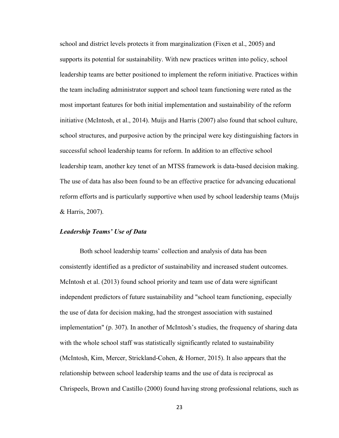school and district levels protects it from marginalization (Fixen et al., 2005) and supports its potential for sustainability. With new practices written into policy, school leadership teams are better positioned to implement the reform initiative. Practices within the team including administrator support and school team functioning were rated as the most important features for both initial implementation and sustainability of the reform initiative (McIntosh, et al., 2014). Muijs and Harris (2007) also found that school culture, school structures, and purposive action by the principal were key distinguishing factors in successful school leadership teams for reform. In addition to an effective school leadership team, another key tenet of an MTSS framework is data-based decision making. The use of data has also been found to be an effective practice for advancing educational reform efforts and is particularly supportive when used by school leadership teams (Muijs & Harris, 2007).

#### *Leadership Teams' Use of Data*

Both school leadership teams' collection and analysis of data has been consistently identified as a predictor of sustainability and increased student outcomes. McIntosh et al. (2013) found school priority and team use of data were significant independent predictors of future sustainability and "school team functioning, especially the use of data for decision making, had the strongest association with sustained implementation" (p. 307). In another of McIntosh's studies, the frequency of sharing data with the whole school staff was statistically significantly related to sustainability (McIntosh, Kim, Mercer, Strickland-Cohen, & Horner, 2015). It also appears that the relationship between school leadership teams and the use of data is reciprocal as Chrispeels, Brown and Castillo (2000) found having strong professional relations, such as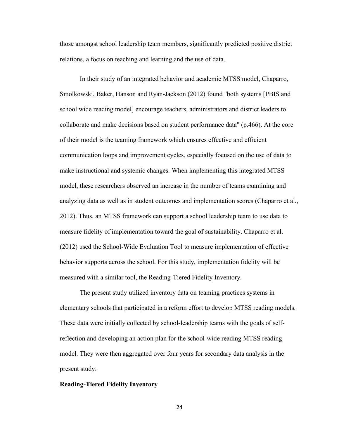those amongst school leadership team members, significantly predicted positive district relations, a focus on teaching and learning and the use of data.

In their study of an integrated behavior and academic MTSS model, Chaparro, Smolkowski, Baker, Hanson and Ryan-Jackson (2012) found "both systems [PBIS and school wide reading model] encourage teachers, administrators and district leaders to collaborate and make decisions based on student performance data" (p.466). At the core of their model is the teaming framework which ensures effective and efficient communication loops and improvement cycles, especially focused on the use of data to make instructional and systemic changes. When implementing this integrated MTSS model, these researchers observed an increase in the number of teams examining and analyzing data as well as in student outcomes and implementation scores (Chaparro et al., 2012). Thus, an MTSS framework can support a school leadership team to use data to measure fidelity of implementation toward the goal of sustainability. Chaparro et al. (2012) used the School-Wide Evaluation Tool to measure implementation of effective behavior supports across the school. For this study, implementation fidelity will be measured with a similar tool, the Reading-Tiered Fidelity Inventory.

The present study utilized inventory data on teaming practices systems in elementary schools that participated in a reform effort to develop MTSS reading models. These data were initially collected by school-leadership teams with the goals of selfreflection and developing an action plan for the school-wide reading MTSS reading model. They were then aggregated over four years for secondary data analysis in the present study.

#### **Reading-Tiered Fidelity Inventory**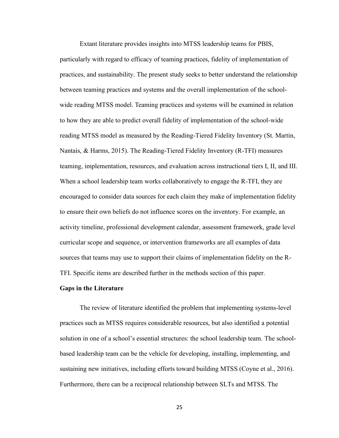Extant literature provides insights into MTSS leadership teams for PBIS, particularly with regard to efficacy of teaming practices, fidelity of implementation of practices, and sustainability. The present study seeks to better understand the relationship between teaming practices and systems and the overall implementation of the schoolwide reading MTSS model. Teaming practices and systems will be examined in relation to how they are able to predict overall fidelity of implementation of the school-wide reading MTSS model as measured by the Reading-Tiered Fidelity Inventory (St. Martin, Nantais, & Harms, 2015). The Reading-Tiered Fidelity Inventory (R-TFI) measures teaming, implementation, resources, and evaluation across instructional tiers I, II, and III. When a school leadership team works collaboratively to engage the R-TFI, they are encouraged to consider data sources for each claim they make of implementation fidelity to ensure their own beliefs do not influence scores on the inventory. For example, an activity timeline, professional development calendar, assessment framework, grade level curricular scope and sequence, or intervention frameworks are all examples of data sources that teams may use to support their claims of implementation fidelity on the R-TFI. Specific items are described further in the methods section of this paper.

#### **Gaps in the Literature**

The review of literature identified the problem that implementing systems-level practices such as MTSS requires considerable resources, but also identified a potential solution in one of a school's essential structures: the school leadership team. The schoolbased leadership team can be the vehicle for developing, installing, implementing, and sustaining new initiatives, including efforts toward building MTSS (Coyne et al., 2016). Furthermore, there can be a reciprocal relationship between SLTs and MTSS. The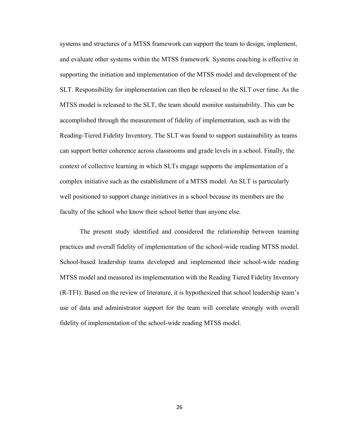systems and structures of a MTSS framework can support the team to design, implement, and evaluate other systems within the MTSS framework. Systems coaching is effective in supporting the initiation and implementation of the MTSS model and development of the SLT. Responsibility for implementation can then be released to the SLT over time. As the MTSS model is released to the SLT, the team should monitor sustainability. This can be accomplished through the measurement of fidelity of implementation, such as with the Reading-Tiered Fidelity Inventory. The SLT was found to support sustainability as teams can support better coherence across classrooms and grade levels in a school. Finally, the context of collective learning in which SLTs engage supports the implementation of a complex initiative such as the establishment of a MTSS model. An SLT is particularly well positioned to support change initiatives in a school because its members are the faculty of the school who know their school better than anyone else.

The present study identified and considered the relationship between teaming practices and overall fidelity of implementation of the school-wide reading MTSS model. School-based leadership teams developed and implemented their school-wide reading MTSS model and measured its implementation with the Reading Tiered Fidelity Inventory (R-TFI). Based on the review of literature, it is hypothesized that school leadership team's use of data and administrator support for the team will correlate strongly with overall fidelity of implementation of the school-wide reading MTSS model.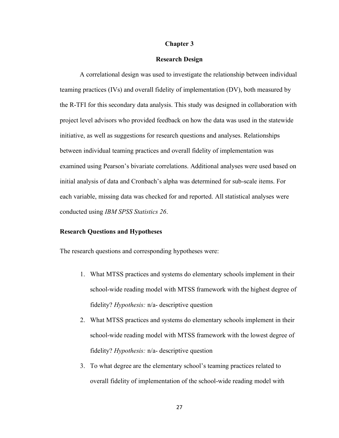#### **Chapter 3**

### **Research Design**

A correlational design was used to investigate the relationship between individual teaming practices (IVs) and overall fidelity of implementation (DV), both measured by the R-TFI for this secondary data analysis. This study was designed in collaboration with project level advisors who provided feedback on how the data was used in the statewide initiative, as well as suggestions for research questions and analyses. Relationships between individual teaming practices and overall fidelity of implementation was examined using Pearson's bivariate correlations. Additional analyses were used based on initial analysis of data and Cronbach's alpha was determined for sub-scale items. For each variable, missing data was checked for and reported. All statistical analyses were conducted using *IBM SPSS Statistics 26*.

### **Research Questions and Hypotheses**

The research questions and corresponding hypotheses were:

- 1. What MTSS practices and systems do elementary schools implement in their school-wide reading model with MTSS framework with the highest degree of fidelity? *Hypothesis:* n/a- descriptive question
- 2. What MTSS practices and systems do elementary schools implement in their school-wide reading model with MTSS framework with the lowest degree of fidelity? *Hypothesis:* n/a- descriptive question
- 3. To what degree are the elementary school's teaming practices related to overall fidelity of implementation of the school-wide reading model with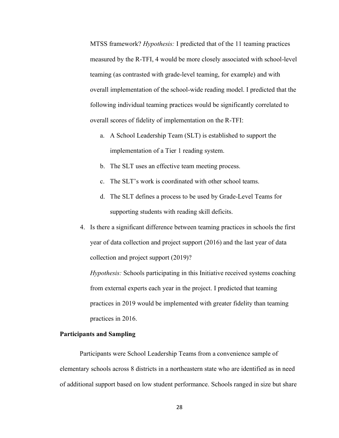MTSS framework? *Hypothesis:* I predicted that of the 11 teaming practices measured by the R-TFI, 4 would be more closely associated with school-level teaming (as contrasted with grade-level teaming, for example) and with overall implementation of the school-wide reading model. I predicted that the following individual teaming practices would be significantly correlated to overall scores of fidelity of implementation on the R-TFI:

- a. A School Leadership Team (SLT) is established to support the implementation of a Tier 1 reading system.
- b. The SLT uses an effective team meeting process.
- c. The SLT's work is coordinated with other school teams.
- d. The SLT defines a process to be used by Grade-Level Teams for supporting students with reading skill deficits.
- 4. Is there a significant difference between teaming practices in schools the first year of data collection and project support (2016) and the last year of data collection and project support (2019)?

*Hypothesis:* Schools participating in this Initiative received systems coaching from external experts each year in the project. I predicted that teaming practices in 2019 would be implemented with greater fidelity than teaming practices in 2016.

### **Participants and Sampling**

Participants were School Leadership Teams from a convenience sample of elementary schools across 8 districts in a northeastern state who are identified as in need of additional support based on low student performance. Schools ranged in size but share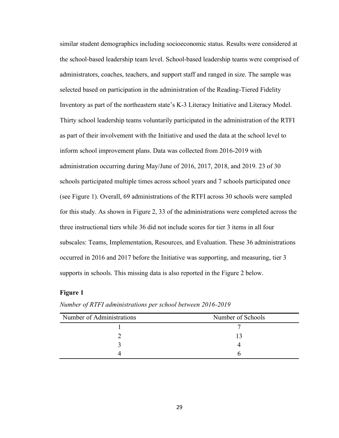similar student demographics including socioeconomic status. Results were considered at the school-based leadership team level. School-based leadership teams were comprised of administrators, coaches, teachers, and support staff and ranged in size. The sample was selected based on participation in the administration of the Reading-Tiered Fidelity Inventory as part of the northeastern state's K-3 Literacy Initiative and Literacy Model. Thirty school leadership teams voluntarily participated in the administration of the RTFI as part of their involvement with the Initiative and used the data at the school level to inform school improvement plans. Data was collected from 2016-2019 with administration occurring during May/June of 2016, 2017, 2018, and 2019. 23 of 30 schools participated multiple times across school years and 7 schools participated once (see Figure 1). Overall, 69 administrations of the RTFI across 30 schools were sampled for this study. As shown in Figure 2, 33 of the administrations were completed across the three instructional tiers while 36 did not include scores for tier 3 items in all four subscales: Teams, Implementation, Resources, and Evaluation. These 36 administrations occurred in 2016 and 2017 before the Initiative was supporting, and measuring, tier 3 supports in schools. This missing data is also reported in the Figure 2 below.

### **Figure 1**

| Number of Administrations | Number of Schools |
|---------------------------|-------------------|
|                           |                   |
|                           |                   |
|                           |                   |
|                           |                   |

*Number of RTFI administrations per school between 2016-2019*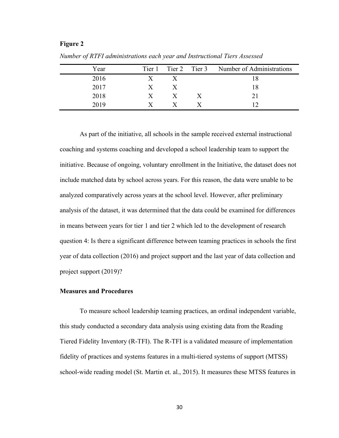## **Figure 2**

| Year |   |              |   | Tier 1 Tier 2 Tier 3 Number of Administrations |
|------|---|--------------|---|------------------------------------------------|
| 2016 |   |              |   |                                                |
| 2017 | X | X            |   | 18                                             |
| 2018 | X | $\mathbf{X}$ | X |                                                |
| 2019 |   |              |   |                                                |

*Number of RTFI administrations each year and Instructional Tiers Assessed*

As part of the initiative, all schools in the sample received external instructional coaching and systems coaching and developed a school leadership team to support the initiative. Because of ongoing, voluntary enrollment in the Initiative, the dataset does not include matched data by school across years. For this reason, the data were unable to be analyzed comparatively across years at the school level. However, after preliminary analysis of the dataset, it was determined that the data could be examined for differences in means between years for tier 1 and tier 2 which led to the development of research question 4: Is there a significant difference between teaming practices in schools the first year of data collection (2016) and project support and the last year of data collection and project support (2019)?

### **Measures and Procedures**

To measure school leadership teaming practices, an ordinal independent variable, this study conducted a secondary data analysis using existing data from the Reading Tiered Fidelity Inventory (R-TFI). The R-TFI is a validated measure of implementation fidelity of practices and systems features in a multi-tiered systems of support (MTSS) school-wide reading model (St. Martin et. al., 2015). It measures these MTSS features in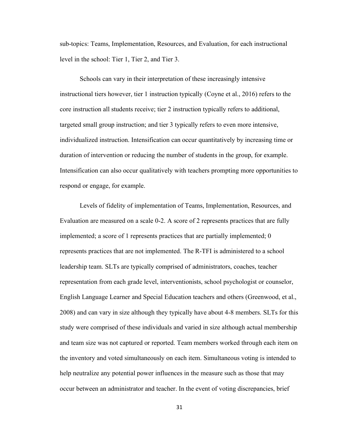sub-topics: Teams, Implementation, Resources, and Evaluation, for each instructional level in the school: Tier 1, Tier 2, and Tier 3.

Schools can vary in their interpretation of these increasingly intensive instructional tiers however, tier 1 instruction typically (Coyne et al., 2016) refers to the core instruction all students receive; tier 2 instruction typically refers to additional, targeted small group instruction; and tier 3 typically refers to even more intensive, individualized instruction. Intensification can occur quantitatively by increasing time or duration of intervention or reducing the number of students in the group, for example. Intensification can also occur qualitatively with teachers prompting more opportunities to respond or engage, for example.

Levels of fidelity of implementation of Teams, Implementation, Resources, and Evaluation are measured on a scale 0-2. A score of 2 represents practices that are fully implemented; a score of 1 represents practices that are partially implemented; 0 represents practices that are not implemented. The R-TFI is administered to a school leadership team. SLTs are typically comprised of administrators, coaches, teacher representation from each grade level, interventionists, school psychologist or counselor, English Language Learner and Special Education teachers and others (Greenwood, et al., 2008) and can vary in size although they typically have about 4-8 members. SLTs for this study were comprised of these individuals and varied in size although actual membership and team size was not captured or reported. Team members worked through each item on the inventory and voted simultaneously on each item. Simultaneous voting is intended to help neutralize any potential power influences in the measure such as those that may occur between an administrator and teacher. In the event of voting discrepancies, brief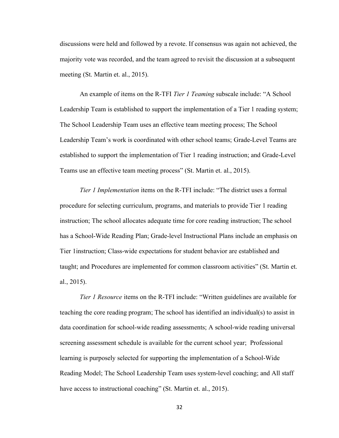discussions were held and followed by a revote. If consensus was again not achieved, the majority vote was recorded, and the team agreed to revisit the discussion at a subsequent meeting (St. Martin et. al., 2015).

An example of items on the R-TFI *Tier 1 Teaming* subscale include: "A School Leadership Team is established to support the implementation of a Tier 1 reading system; The School Leadership Team uses an effective team meeting process; The School Leadership Team's work is coordinated with other school teams; Grade-Level Teams are established to support the implementation of Tier 1 reading instruction; and Grade-Level Teams use an effective team meeting process" (St. Martin et. al., 2015).

*Tier 1 Implementation* items on the R-TFI include: "The district uses a formal procedure for selecting curriculum, programs, and materials to provide Tier 1 reading instruction; The school allocates adequate time for core reading instruction; The school has a School-Wide Reading Plan; Grade-level Instructional Plans include an emphasis on Tier 1instruction; Class-wide expectations for student behavior are established and taught; and Procedures are implemented for common classroom activities" (St. Martin et. al., 2015).

*Tier 1 Resource* items on the R-TFI include: "Written guidelines are available for teaching the core reading program; The school has identified an individual(s) to assist in data coordination for school-wide reading assessments; A school-wide reading universal screening assessment schedule is available for the current school year; Professional learning is purposely selected for supporting the implementation of a School-Wide Reading Model; The School Leadership Team uses system-level coaching; and All staff have access to instructional coaching" (St. Martin et. al., 2015).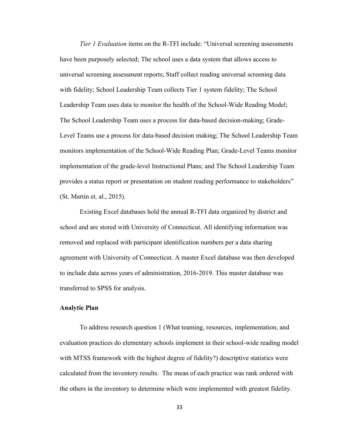*Tier 1 Evaluation* items on the R-TFI include: "Universal screening assessments have been purposely selected; The school uses a data system that allows access to universal screening assessment reports; Staff collect reading universal screening data with fidelity; School Leadership Team collects Tier 1 system fidelity; The School Leadership Team uses data to monitor the health of the School-Wide Reading Model; The School Leadership Team uses a process for data-based decision-making; Grade-Level Teams use a process for data-based decision making; The School Leadership Team monitors implementation of the School-Wide Reading Plan; Grade-Level Teams monitor implementation of the grade-level Instructional Plans; and The School Leadership Team provides a status report or presentation on student reading performance to stakeholders" (St. Martin et. al., 2015).

Existing Excel databases hold the annual R-TFI data organized by district and school and are stored with University of Connecticut. All identifying information was removed and replaced with participant identification numbers per a data sharing agreement with University of Connecticut. A master Excel database was then developed to include data across years of administration, 2016-2019. This master database was transferred to SPSS for analysis.

### **Analytic Plan**

To address research question 1 (What teaming, resources, implementation, and evaluation practices do elementary schools implement in their school-wide reading model with MTSS framework with the highest degree of fidelity?) descriptive statistics were calculated from the inventory results. The mean of each practice was rank ordered with the others in the inventory to determine which were implemented with greatest fidelity.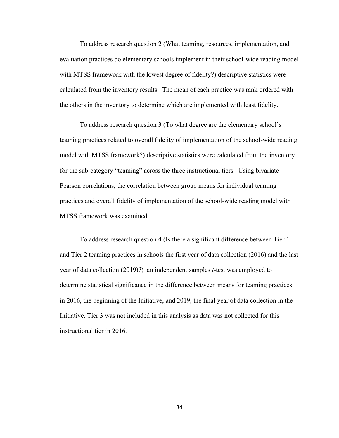To address research question 2 (What teaming, resources, implementation, and evaluation practices do elementary schools implement in their school-wide reading model with MTSS framework with the lowest degree of fidelity?) descriptive statistics were calculated from the inventory results. The mean of each practice was rank ordered with the others in the inventory to determine which are implemented with least fidelity.

To address research question 3 (To what degree are the elementary school's teaming practices related to overall fidelity of implementation of the school-wide reading model with MTSS framework?) descriptive statistics were calculated from the inventory for the sub-category "teaming" across the three instructional tiers. Using bivariate Pearson correlations, the correlation between group means for individual teaming practices and overall fidelity of implementation of the school-wide reading model with MTSS framework was examined.

To address research question 4 (Is there a significant difference between Tier 1 and Tier 2 teaming practices in schools the first year of data collection (2016) and the last year of data collection (2019)?) an independent samples *t*-test was employed to determine statistical significance in the difference between means for teaming practices in 2016, the beginning of the Initiative, and 2019, the final year of data collection in the Initiative. Tier 3 was not included in this analysis as data was not collected for this instructional tier in 2016.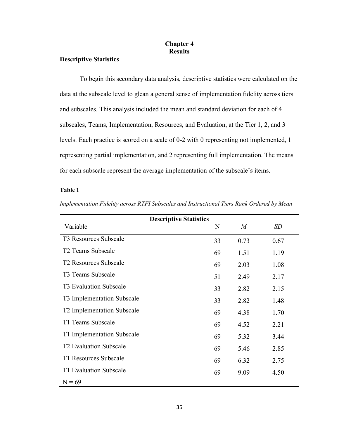## **Chapter 4 Results**

# **Descriptive Statistics**

To begin this secondary data analysis, descriptive statistics were calculated on the data at the subscale level to glean a general sense of implementation fidelity across tiers and subscales. This analysis included the mean and standard deviation for each of 4 subscales, Teams, Implementation, Resources, and Evaluation, at the Tier 1, 2, and 3 levels. Each practice is scored on a scale of 0-2 with 0 representing not implemented, 1 representing partial implementation, and 2 representing full implementation. The means for each subscale represent the average implementation of the subscale's items.

### **Table 1**

|                                   | <b>Descriptive Statistics</b> |    |                  |      |
|-----------------------------------|-------------------------------|----|------------------|------|
| Variable                          |                               | N  | $\boldsymbol{M}$ | SD   |
| T3 Resources Subscale             |                               | 33 | 0.73             | 0.67 |
| T <sub>2</sub> Teams Subscale     |                               | 69 | 1.51             | 1.19 |
| T <sub>2</sub> Resources Subscale |                               | 69 | 2.03             | 1.08 |
| T3 Teams Subscale                 |                               | 51 | 2.49             | 2.17 |
| T3 Evaluation Subscale            |                               | 33 | 2.82             | 2.15 |
| T3 Implementation Subscale        |                               | 33 | 2.82             | 1.48 |
| T2 Implementation Subscale        |                               | 69 | 4.38             | 1.70 |
| T1 Teams Subscale                 |                               | 69 | 4.52             | 2.21 |
| T1 Implementation Subscale        |                               | 69 | 5.32             | 3.44 |
| <b>T2 Evaluation Subscale</b>     |                               | 69 | 5.46             | 2.85 |
| T1 Resources Subscale             |                               | 69 | 6.32             | 2.75 |
| T1 Evaluation Subscale            |                               | 69 | 9.09             | 4.50 |
| $N = 69$                          |                               |    |                  |      |

*Implementation Fidelity across RTFI Subscales and Instructional Tiers Rank Ordered by Mean*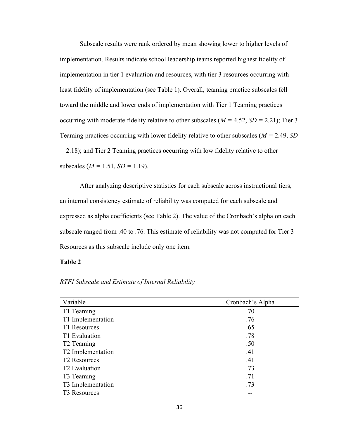Subscale results were rank ordered by mean showing lower to higher levels of implementation. Results indicate school leadership teams reported highest fidelity of implementation in tier 1 evaluation and resources, with tier 3 resources occurring with least fidelity of implementation (see Table 1). Overall, teaming practice subscales fell toward the middle and lower ends of implementation with Tier 1 Teaming practices occurring with moderate fidelity relative to other subscales (*M =* 4.52, *SD =* 2.21); Tier 3 Teaming practices occurring with lower fidelity relative to other subscales (*M =* 2.49, *SD =* 2.18); and Tier 2 Teaming practices occurring with low fidelity relative to other subscales (*M =* 1.51, *SD =* 1.19).

After analyzing descriptive statistics for each subscale across instructional tiers, an internal consistency estimate of reliability was computed for each subscale and expressed as alpha coefficients (see Table 2). The value of the Cronbach's alpha on each subscale ranged from .40 to .76. This estimate of reliability was not computed for Tier 3 Resources as this subscale include only one item.

### **Table 2**

| RTFI Subscale and Estimate of Internal Reliability |  |  |  |
|----------------------------------------------------|--|--|--|
|                                                    |  |  |  |

| Variable                  | Cronbach's Alpha |
|---------------------------|------------------|
| T1 Teaming                | .70              |
| T1 Implementation         | .76              |
| T1 Resources              | .65              |
| T1 Evaluation             | .78              |
| T <sub>2</sub> Teaming    | .50              |
| T2 Implementation         | .41              |
| T <sub>2</sub> Resources  | .41              |
| T <sub>2</sub> Evaluation | .73              |
| T3 Teaming                | .71              |
| T3 Implementation         | .73              |
| T3 Resources              |                  |
|                           |                  |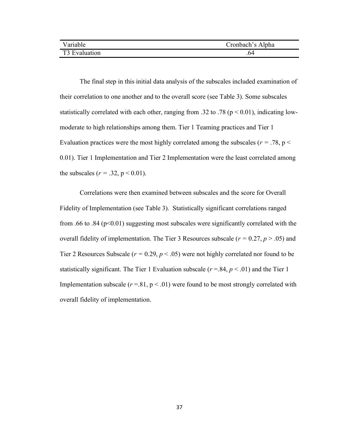| Variable      | Cronbach's Alpha |
|---------------|------------------|
| T3 Evaluation | .64              |

The final step in this initial data analysis of the subscales included examination of their correlation to one another and to the overall score (see Table 3). Some subscales statistically correlated with each other, ranging from .32 to .78 ( $p < 0.01$ ), indicating lowmoderate to high relationships among them. Tier 1 Teaming practices and Tier 1 Evaluation practices were the most highly correlated among the subscales ( $r = .78$ ,  $p <$ 0.01). Tier 1 Implementation and Tier 2 Implementation were the least correlated among the subscales ( $r = .32$ ,  $p < 0.01$ ).

Correlations were then examined between subscales and the score for Overall Fidelity of Implementation (see Table 3). Statistically significant correlations ranged from .66 to .84 ( $p<0.01$ ) suggesting most subscales were significantly correlated with the overall fidelity of implementation. The Tier 3 Resources subscale (*r =* 0.27, *p* > .05) and Tier 2 Resources Subscale ( $r = 0.29$ ,  $p < .05$ ) were not highly correlated nor found to be statistically significant. The Tier 1 Evaluation subscale ( $r = .84$ ,  $p < .01$ ) and the Tier 1 Implementation subscale  $(r=.81, p<.01)$  were found to be most strongly correlated with overall fidelity of implementation.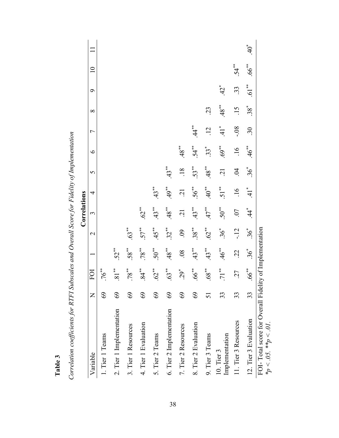|                                                                                           |                 |                     |                    |                   | Correlations   |                |                  |               |                      |            |              |          |       |
|-------------------------------------------------------------------------------------------|-----------------|---------------------|--------------------|-------------------|----------------|----------------|------------------|---------------|----------------------|------------|--------------|----------|-------|
| Variable                                                                                  | $\mathsf{Z}$    | FOI                 |                    | $\mathbf 2$       | 3              | 4              | 5                | $\circ$       | Γ                    | $\infty$   | $\circ$      | $\Xi$    |       |
| 1. Tier 1 Teams                                                                           | $\mathcal{S}^9$ | $.76***$            |                    |                   |                |                |                  |               |                      |            |              |          |       |
| 2. Tier 1 Implementation                                                                  | 69              | $.81***$            | $.52**$            |                   |                |                |                  |               |                      |            |              |          |       |
| 3. Tier 1 Resources                                                                       | $\mathcal{S}$   | $.78***$            | $.58^{**}$         | $.63***$          |                |                |                  |               |                      |            |              |          |       |
| 4. Tier 1 Evaluation                                                                      | 69              | $84$ <sup>**</sup>  | $.78$ **           | $57***$           | .62            |                |                  |               |                      |            |              |          |       |
| 5. Tier 2 Teams                                                                           | 69              | $.62$ <sup>**</sup> | $.50**$            | $.45***$          | $.43***$       | $.43**$        |                  |               |                      |            |              |          |       |
| 6. Tier 2 Implementation                                                                  | $\Im$           | $.63***$            | $.48**$            | $32^{**}$         | $.48**$        | $49^{**}$      | $.43***$         |               |                      |            |              |          |       |
| 7. Tier 2 Resources                                                                       | 69              | $.29*$              | 80.                | $60$ .            | $\overline{c}$ | $\ddot{c}$     | $\overline{.18}$ | $.48**$       |                      |            |              |          |       |
| 8. Tier 2 Evaluation                                                                      | $\Im$           | $.66$ <sup>**</sup> | $43$ <sup>**</sup> | $.38***$          | $43**$         | $.56***$       | 53**             | $.54***$      | $44 \times$          |            |              |          |       |
| 9. Tier 3 Teams                                                                           | 51              | $.68^{***}$         | $.43**$            | $.62***$          | $.47$ **       | $40^{**}$      | $.48***$         | $\ddot{3}$    | $\overline{12}$      | $\ddot{c}$ |              |          |       |
| Implementation<br>$10.$ Tier $3$                                                          | 33              | $71$ <sup>**</sup>  | $46*$              | $36$ <sup>*</sup> | $50**$         | $.51***$       | $\ddot{2}$       | $.69^{**}$    | $\ddot{=}$           | $48**$     | $\ddot{Q}^*$ |          |       |
| 11. Tier 3 Resources                                                                      | 33              | .27                 | $\ddot{c}$         | $-12$             | .07            | $\frac{91}{1}$ | $\dot{5}$        | $\frac{6}{1}$ | $80 -$               | $\ddot{5}$ | $\ddot{3}$   | $.54**$  |       |
| 12. Tier 3 Evaluation                                                                     | 33              | $.66***$            | $36*$              | $\ddot{\delta}^*$ | 44             | $\ddot{=}$     | $36*$            | .46           | $\ddot{\mathcal{E}}$ | $38*$      | $.61***$     | $.66***$ | $+40$ |
| FOI-Total score for Overall Fidelity of Implementation<br>$*_{p} < .05$ . $*_{p} < .01$ . |                 |                     |                    |                   |                |                |                  |               |                      |            |              |          |       |

Correlation coefficients for RTFI Subscales and Overall Score for Fidelity of Implementation *Correlation coefficients for RTFI Subscales and Overall Score for Fidelity of Implementation*

**Table 3**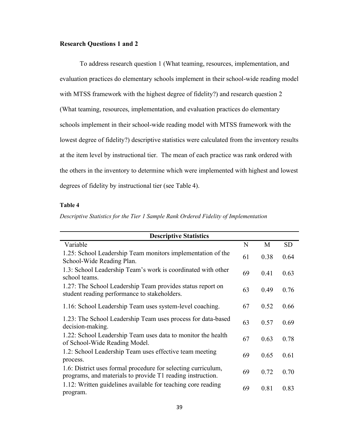### **Research Questions 1 and 2**

To address research question 1 (What teaming, resources, implementation, and evaluation practices do elementary schools implement in their school-wide reading model with MTSS framework with the highest degree of fidelity?) and research question 2 (What teaming, resources, implementation, and evaluation practices do elementary schools implement in their school-wide reading model with MTSS framework with the lowest degree of fidelity?) descriptive statistics were calculated from the inventory results at the item level by instructional tier. The mean of each practice was rank ordered with the others in the inventory to determine which were implemented with highest and lowest degrees of fidelity by instructional tier (see Table 4).

# **Table 4**

*Descriptive Statistics for the Tier 1 Sample Rank Ordered Fidelity of Implementation* 

| <b>Descriptive Statistics</b>                                                                                               |    |      |           |
|-----------------------------------------------------------------------------------------------------------------------------|----|------|-----------|
| Variable                                                                                                                    | N  | M    | <b>SD</b> |
| 1.25: School Leadership Team monitors implementation of the<br>School-Wide Reading Plan.                                    | 61 | 0.38 | 0.64      |
| 1.3: School Leadership Team's work is coordinated with other<br>school teams.                                               | 69 | 0.41 | 0.63      |
| 1.27: The School Leadership Team provides status report on<br>student reading performance to stakeholders.                  | 63 | 0.49 | 0.76      |
| 1.16: School Leadership Team uses system-level coaching.                                                                    | 67 | 0.52 | 0.66      |
| 1.23: The School Leadership Team uses process for data-based<br>decision-making.                                            | 63 | 0.57 | 0.69      |
| 1.22: School Leadership Team uses data to monitor the health<br>of School-Wide Reading Model.                               | 67 | 0.63 | 0.78      |
| 1.2: School Leadership Team uses effective team meeting<br>process.                                                         | 69 | 0.65 | 0.61      |
| 1.6: District uses formal procedure for selecting curriculum,<br>programs, and materials to provide T1 reading instruction. | 69 | 0.72 | 0.70      |
| 1.12: Written guidelines available for teaching core reading<br>program.                                                    | 69 | 0.81 | 0.83      |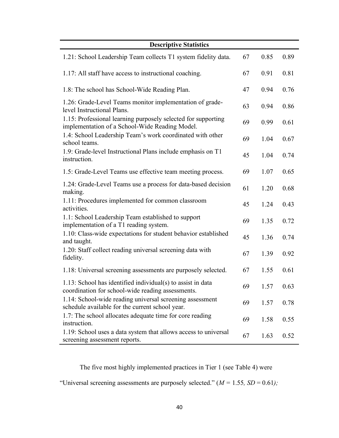| <b>Descriptive Statistics</b>                                                                                    |    |      |      |
|------------------------------------------------------------------------------------------------------------------|----|------|------|
| 1.21: School Leadership Team collects T1 system fidelity data.                                                   | 67 | 0.85 | 0.89 |
| 1.17: All staff have access to instructional coaching.                                                           | 67 | 0.91 | 0.81 |
| 1.8: The school has School-Wide Reading Plan.                                                                    | 47 | 0.94 | 0.76 |
| 1.26: Grade-Level Teams monitor implementation of grade-<br>level Instructional Plans.                           | 63 | 0.94 | 0.86 |
| 1.15: Professional learning purposely selected for supporting<br>implementation of a School-Wide Reading Model.  | 69 | 0.99 | 0.61 |
| 1.4: School Leadership Team's work coordinated with other<br>school teams.                                       | 69 | 1.04 | 0.67 |
| 1.9: Grade-level Instructional Plans include emphasis on T1<br>instruction.                                      | 45 | 1.04 | 0.74 |
| 1.5: Grade-Level Teams use effective team meeting process.                                                       | 69 | 1.07 | 0.65 |
| 1.24: Grade-Level Teams use a process for data-based decision<br>making.                                         | 61 | 1.20 | 0.68 |
| 1.11: Procedures implemented for common classroom<br>activities.                                                 | 45 | 1.24 | 0.43 |
| 1.1: School Leadership Team established to support<br>implementation of a T1 reading system.                     | 69 | 1.35 | 0.72 |
| 1.10: Class-wide expectations for student behavior established<br>and taught.                                    | 45 | 1.36 | 0.74 |
| 1.20: Staff collect reading universal screening data with<br>fidelity.                                           | 67 | 1.39 | 0.92 |
| 1.18: Universal screening assessments are purposely selected.                                                    | 67 | 1.55 | 0.61 |
| 1.13: School has identified individual(s) to assist in data<br>coordination for school-wide reading assessments. | 69 | 1.57 | 0.63 |
| 1.14: School-wide reading universal screening assessment<br>schedule available for the current school year.      | 69 | 1.57 | 0.78 |
| 1.7: The school allocates adequate time for core reading<br>instruction.                                         | 69 | 1.58 | 0.55 |
| 1.19: School uses a data system that allows access to universal<br>screening assessment reports.                 | 67 | 1.63 | 0.52 |

The five most highly implemented practices in Tier 1 (see Table 4) were

"Universal screening assessments are purposely selected." (*M =* 1.55*, SD* = 0.61*);*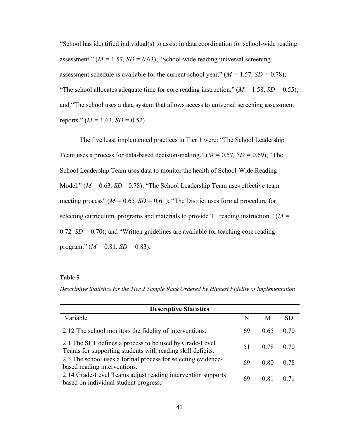"School has identified individual(s) to assist in data coordination for school-wide reading assessment." (*M =* 1.57*, SD = 0*.63); "School-wide reading universal screening assessment schedule is available for the current school year."  $(M = 1.57, SD = 0.78)$ ; "The school allocates adequate time for core reading instruction." ( $M = 1.58$ ,  $SD = 0.55$ ); and "The school uses a data system that allows access to universal screening assessment reports."  $(M = 1.63, SD = 0.52)$ .

The five least implemented practices in Tier 1 were: "The School Leadership Team uses a process for data-based decision-making." (*M =* 0.57*, SD =* 0.69); "The School Leadership Team uses data to monitor the health of School-Wide Reading Model." (*M =* 0.63*, SD =*0.78); "The School Leadership Team uses effective team meeting process" ( $M = 0.65$ ,  $SD = 0.61$ ); "The District uses formal procedure for selecting curriculum, programs and materials to provide T1 reading instruction." (*M =*  0.72*, SD =* 0.70); and "Written guidelines are available for teaching core reading program."  $(M = 0.81, SD = 0.83)$ .

#### **Table 5**

*Descriptive Statistics for the Tier 2 Sample Rank Ordered by Highest Fidelity of Implementation*

| <b>Descriptive Statistics</b>                                                                                         |    |      |           |
|-----------------------------------------------------------------------------------------------------------------------|----|------|-----------|
| Variable                                                                                                              | N  | M    | <b>SD</b> |
| 2.12 The school monitors the fidelity of interventions.                                                               | 69 | 0.65 | 0.70      |
| 2.1 The SLT defines a process to be used by Grade-Level<br>Teams for supporting students with reading skill deficits. | 51 | 0.78 | 0.70      |
| 2.3 The school uses a formal process for selecting evidence-<br>based reading interventions.                          | 69 | 0.80 | 0.78      |
| 2.14 Grade-Level Teams adjust reading intervention supports<br>based on individual student progress.                  | 69 | 0.81 | 0.71      |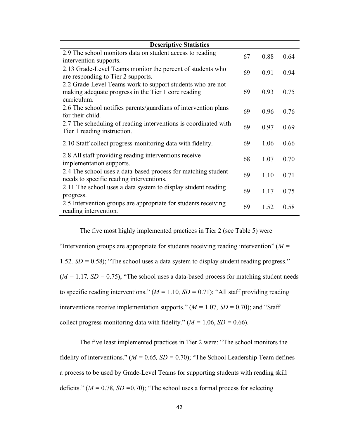| <b>Descriptive Statistics</b>                                                                                                    |    |      |      |
|----------------------------------------------------------------------------------------------------------------------------------|----|------|------|
| 2.9 The school monitors data on student access to reading<br>intervention supports.                                              | 67 | 0.88 | 0.64 |
| 2.13 Grade-Level Teams monitor the percent of students who<br>are responding to Tier 2 supports.                                 | 69 | 0.91 | 0.94 |
| 2.2 Grade-Level Teams work to support students who are not<br>making adequate progress in the Tier 1 core reading<br>curriculum. | 69 | 0.93 | 0.75 |
| 2.6 The school notifies parents/guardians of intervention plans<br>for their child.                                              | 69 | 0.96 | 0.76 |
| 2.7 The scheduling of reading interventions is coordinated with<br>Tier 1 reading instruction.                                   | 69 | 0.97 | 0.69 |
| 2.10 Staff collect progress-monitoring data with fidelity.                                                                       | 69 | 1.06 | 0.66 |
| 2.8 All staff providing reading interventions receive<br>implementation supports.                                                | 68 | 1.07 | 0.70 |
| 2.4 The school uses a data-based process for matching student<br>needs to specific reading interventions.                        | 69 | 1.10 | 0.71 |
| 2.11 The school uses a data system to display student reading<br>progress.                                                       | 69 | 1.17 | 0.75 |
| 2.5 Intervention groups are appropriate for students receiving<br>reading intervention.                                          | 69 | 1.52 | 0.58 |

The five most highly implemented practices in Tier 2 (see Table 5) were "Intervention groups are appropriate for students receiving reading intervention" (*M =*  1.52*, SD =* 0.58); "The school uses a data system to display student reading progress."  $(M = 1.17, SD = 0.75)$ ; "The school uses a data-based process for matching student needs to specific reading interventions."  $(M = 1.10, SD = 0.71)$ ; "All staff providing reading interventions receive implementation supports."  $(M = 1.07, SD = 0.70)$ ; and "Staff" collect progress-monitoring data with fidelity."  $(M = 1.06, SD = 0.66)$ .

The five least implemented practices in Tier 2 were: "The school monitors the fidelity of interventions." ( $M = 0.65$ ,  $SD = 0.70$ ); "The School Leadership Team defines a process to be used by Grade-Level Teams for supporting students with reading skill deficits." (*M =* 0.78*, SD =*0.70); "The school uses a formal process for selecting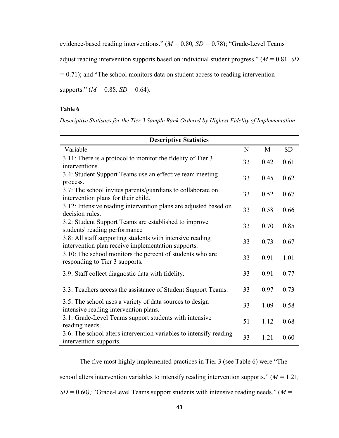evidence-based reading interventions." (*M =* 0.80*, SD =* 0.78); "Grade-Level Teams

adjust reading intervention supports based on individual student progress." (*M =* 0.81*, SD* 

*=* 0.71); and "The school monitors data on student access to reading intervention

supports." (*M =* 0.88*, SD =* 0.64).

#### **Table 6**

*Descriptive Statistics for the Tier 3 Sample Rank Ordered by Highest Fidelity of Implementation*

| <b>Descriptive Statistics</b>                                                                                   |    |      |           |
|-----------------------------------------------------------------------------------------------------------------|----|------|-----------|
| Variable                                                                                                        | N  | M    | <b>SD</b> |
| 3.11: There is a protocol to monitor the fidelity of Tier 3<br>interventions.                                   | 33 | 0.42 | 0.61      |
| 3.4: Student Support Teams use an effective team meeting<br>process.                                            | 33 | 0.45 | 0.62      |
| 3.7: The school invites parents/guardians to collaborate on<br>intervention plans for their child.              | 33 | 0.52 | 0.67      |
| 3.12: Intensive reading intervention plans are adjusted based on<br>decision rules.                             | 33 | 0.58 | 0.66      |
| 3.2: Student Support Teams are established to improve<br>students' reading performance                          | 33 | 0.70 | 0.85      |
| 3.8: All staff supporting students with intensive reading<br>intervention plan receive implementation supports. | 33 | 0.73 | 0.67      |
| 3.10: The school monitors the percent of students who are<br>responding to Tier 3 supports.                     | 33 | 0.91 | 1.01      |
| 3.9: Staff collect diagnostic data with fidelity.                                                               | 33 | 0.91 | 0.77      |
| 3.3: Teachers access the assistance of Student Support Teams.                                                   | 33 | 0.97 | 0.73      |
| 3.5: The school uses a variety of data sources to design<br>intensive reading intervention plans.               | 33 | 1.09 | 0.58      |
| 3.1: Grade-Level Teams support students with intensive<br>reading needs.                                        | 51 | 1.12 | 0.68      |
| 3.6: The school alters intervention variables to intensify reading<br>intervention supports.                    | 33 | 1.21 | 0.60      |

The five most highly implemented practices in Tier 3 (see Table 6) were "The school alters intervention variables to intensify reading intervention supports." (*M =* 1.21*, SD =* 0.60*);* "Grade-Level Teams support students with intensive reading needs." (*M =*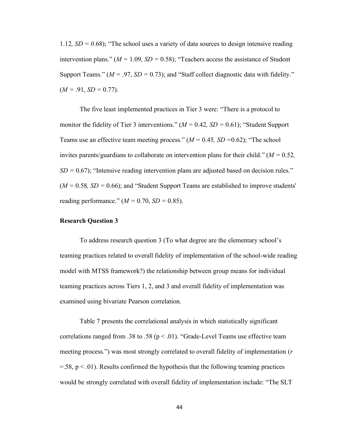1.12*, SD = 0*.68); "The school uses a variety of data sources to design intensive reading intervention plans."  $(M = 1.09, SD = 0.58)$ ; "Teachers access the assistance of Student Support Teams."  $(M = .97, SD = 0.73)$ ; and "Staff collect diagnostic data with fidelity."  $(M = .91, SD = 0.77).$ 

The five least implemented practices in Tier 3 were: "There is a protocol to monitor the fidelity of Tier 3 interventions."  $(M = 0.42, SD = 0.61)$ ; "Student Support Teams use an effective team meeting process." (*M =* 0.45*, SD =*0.62); "The school invites parents/guardians to collaborate on intervention plans for their child." (*M =* 0.52*,*   $SD = 0.67$ ); "Intensive reading intervention plans are adjusted based on decision rules."  $(M = 0.58, SD = 0.66)$ ; and "Student Support Teams are established to improve students" reading performance."  $(M = 0.70, SD = 0.85)$ .

# **Research Question 3**

To address research question 3 (To what degree are the elementary school's teaming practices related to overall fidelity of implementation of the school-wide reading model with MTSS framework?) the relationship between group means for individual teaming practices across Tiers 1, 2, and 3 and overall fidelity of implementation was examined using bivariate Pearson correlation.

Table 7 presents the correlational analysis in which statistically significant correlations ranged from .38 to .58 ( $p < .01$ ). "Grade-Level Teams use effective team meeting process.") was most strongly correlated to overall fidelity of implementation (*r*  $=$  58, p  $<$  0.01). Results confirmed the hypothesis that the following teaming practices would be strongly correlated with overall fidelity of implementation include: "The SLT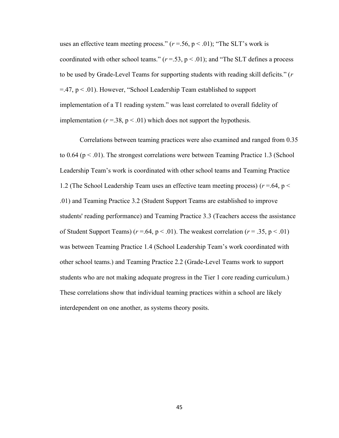uses an effective team meeting process."  $(r = .56, p < .01)$ ; "The SLT's work is coordinated with other school teams."  $(r = .53, p < .01)$ ; and "The SLT defines a process" to be used by Grade-Level Teams for supporting students with reading skill deficits." (*r*  $=$ .47,  $p$  < .01). However, "School Leadership Team established to support implementation of a T1 reading system." was least correlated to overall fidelity of implementation ( $r = 38$ ,  $p < 0.01$ ) which does not support the hypothesis.

Correlations between teaming practices were also examined and ranged from 0.35 to  $0.64$  ( $p < .01$ ). The strongest correlations were between Teaming Practice 1.3 (School Leadership Team's work is coordinated with other school teams and Teaming Practice 1.2 (The School Leadership Team uses an effective team meeting process)  $(r = .64, p <$ .01) and Teaming Practice 3.2 (Student Support Teams are established to improve students' reading performance) and Teaming Practice 3.3 (Teachers access the assistance of Student Support Teams) ( $r = .64$ ,  $p < .01$ ). The weakest correlation ( $r = .35$ ,  $p < .01$ ) was between Teaming Practice 1.4 (School Leadership Team's work coordinated with other school teams.) and Teaming Practice 2.2 (Grade-Level Teams work to support students who are not making adequate progress in the Tier 1 core reading curriculum.) These correlations show that individual teaming practices within a school are likely interdependent on one another, as systems theory posits.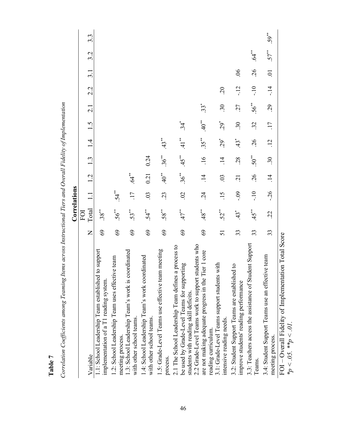| $\ddot{\mathbf{0}}$<br>$\ddot{\circ}$                                                                                                       |                | Correlations       |                |                 |                    |               |                 |                |                           |                |        |                  |
|---------------------------------------------------------------------------------------------------------------------------------------------|----------------|--------------------|----------------|-----------------|--------------------|---------------|-----------------|----------------|---------------------------|----------------|--------|------------------|
|                                                                                                                                             |                | FOI                |                |                 |                    |               |                 |                |                           |                |        |                  |
| Variable                                                                                                                                    | $\overline{Z}$ | Total              |                | 1.2             | 1.3                | $\frac{4}{1}$ | 1.5             | $\overline{c}$ | 2.2                       | $\frac{3}{1}$  | 3.2    | $3.\overline{3}$ |
| 1.1: School Leadership Team established to support<br>implementation of a T1 reading system.                                                | 69             | $.38***$           |                |                 |                    |               |                 |                |                           |                |        |                  |
| 1.2: School Leadership Team uses effective team<br>meeting process.                                                                         | 69             | $.56***$           | $54**$         |                 |                    |               |                 |                |                           |                |        |                  |
| 1.3: School Leadership Team's work is coordinated<br>with other school teams.                                                               | 69             | 53**               | .17            | .64             |                    |               |                 |                |                           |                |        |                  |
| 1.4: School Leadership Team's work coordinated<br>with other school teams.                                                                  | 69             | $54*$              | .03            | 0.21            | 0.24               |               |                 |                |                           |                |        |                  |
| 1.5: Grade-Level Teams use effective team meeting<br>process.                                                                               | 69             | $.58***$           | .23            | $.40^{**}$      | $.36***$           | $43*$         |                 |                |                           |                |        |                  |
| 2.1 The School Leadership Team defines a process to<br>be used by Grade-Level Teams for supporting<br>students with reading skill deficits. | 69             | $47$ <sup>**</sup> | $\overline{0}$ | $.36***$        | $45$ <sup>**</sup> | $41**$        | $34*$           |                |                           |                |        |                  |
| students who<br>Tier 1 core<br>2.2 Grade-Level Teams work to support<br>are not making adequate progress in the<br>reading curriculum.      | 69             | $48^{**}$          | $\ddot{c}$     | $\overline{14}$ | $\overline{.16}$   | $.35***$      | $40^{**}$       | $33*$          |                           |                |        |                  |
| is with<br>3.1: Grade-Level Teams support student<br>intensive reading needs.                                                               | 51             | 52*                | .15            | $\ddot{\Omega}$ | $\frac{4}{1}$      | $.29*$        | $.29*$          | $\ddot{.}30$   | $\widetilde{\mathcal{L}}$ |                |        |                  |
| 3.2: Student Support Teams are established to<br>improve students' reading performance                                                      | 33             | $43^*$             | $-0.9$         | $\overline{c}$  | .28                | 43            | $\ddot{.}30$    | LC.            | $-12$                     | $\overline{6}$ |        |                  |
| 3.3: Teachers access the assistance of Student Support<br>Teams.                                                                            | 33             | $45$ <sup>**</sup> | $-10$          | .26             | $.50**$            | .26           | 32              | $56**$         | $-10$                     | .26            | .64    |                  |
| 3.4: Student Support Teams use an effective team<br>meeting process.                                                                        | 33             | $\ddot{c}$         | $-26$          | $\vec{=}$       | $\ddot{30}$        | $\ddot{5}$    | $\overline{17}$ | 29             | $-14$                     | $\ddot{\circ}$ | $57**$ | $.59***$         |
| FOI – Overall Fidelity of Implementation Total Score<br>$*_p < .05$ . $*_p < .01$ .                                                         |                |                    |                |                 |                    |               |                 |                |                           |                |        |                  |

Correlation Coefficients among Teaming Items across Instructional Tiers and Overall Fidelity of Implementation *Correlation Coefficients among Teaming Items across Instructional Tiers and Overall Fidelity of Implementation*

**Table 7**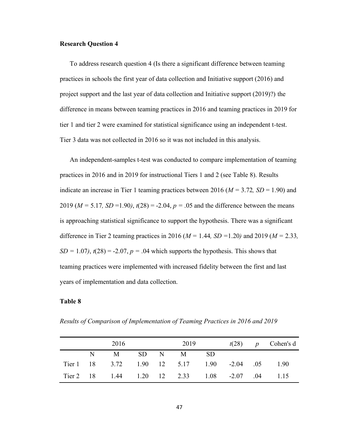#### **Research Question 4**

To address research question 4 (Is there a significant difference between teaming practices in schools the first year of data collection and Initiative support (2016) and project support and the last year of data collection and Initiative support (2019)?) the difference in means between teaming practices in 2016 and teaming practices in 2019 for tier 1 and tier 2 were examined for statistical significance using an independent t*-*test. Tier 3 data was not collected in 2016 so it was not included in this analysis.

An independent-samples t-test was conducted to compare implementation of teaming practices in 2016 and in 2019 for instructional Tiers 1 and 2 (see Table 8). Results indicate an increase in Tier 1 teaming practices between 2016 (*M =* 3.72*, SD* = 1.90) and 2019 ( $M = 5.17$ ,  $SD = 1.90$ ),  $t(28) = -2.04$ ,  $p = .05$  and the difference between the means is approaching statistical significance to support the hypothesis. There was a significant difference in Tier 2 teaming practices in 2016 (*M =* 1.44*, SD =*1.20*)* and 2019 (*M =* 2.33*,*   $SD = 1.07$ ,  $t(28) = -2.07$ ,  $p = .04$  which supports the hypothesis. This shows that teaming practices were implemented with increased fidelity between the first and last years of implementation and data collection.

## **Table 8**

|  | 2016                                            |  | 2019 |  | $t(28)$ p Cohen's d |
|--|-------------------------------------------------|--|------|--|---------------------|
|  | N M SD N M SD                                   |  |      |  |                     |
|  | Tier 1 18 3.72 1.90 12 5.17 1.90 -2.04 .05 1.90 |  |      |  |                     |
|  | Tier 2 18 1.44 1.20 12 2.33 1.08 -2.07 .04 1.15 |  |      |  |                     |

*Results of Comparison of Implementation of Teaming Practices in 2016 and 2019*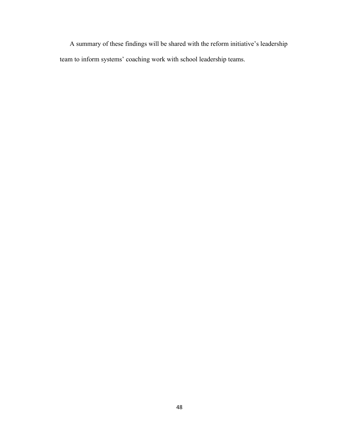A summary of these findings will be shared with the reform initiative's leadership team to inform systems' coaching work with school leadership teams.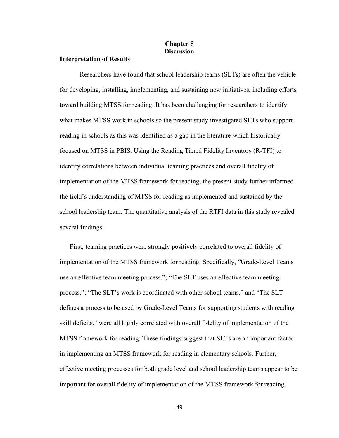## **Chapter 5 Discussion**

### **Interpretation of Results**

Researchers have found that school leadership teams (SLTs) are often the vehicle for developing, installing, implementing, and sustaining new initiatives, including efforts toward building MTSS for reading. It has been challenging for researchers to identify what makes MTSS work in schools so the present study investigated SLTs who support reading in schools as this was identified as a gap in the literature which historically focused on MTSS in PBIS. Using the Reading Tiered Fidelity Inventory (R-TFI) to identify correlations between individual teaming practices and overall fidelity of implementation of the MTSS framework for reading, the present study further informed the field's understanding of MTSS for reading as implemented and sustained by the school leadership team. The quantitative analysis of the RTFI data in this study revealed several findings.

First, teaming practices were strongly positively correlated to overall fidelity of implementation of the MTSS framework for reading. Specifically, "Grade-Level Teams use an effective team meeting process."; "The SLT uses an effective team meeting process."; "The SLT's work is coordinated with other school teams." and "The SLT defines a process to be used by Grade-Level Teams for supporting students with reading skill deficits." were all highly correlated with overall fidelity of implementation of the MTSS framework for reading. These findings suggest that SLTs are an important factor in implementing an MTSS framework for reading in elementary schools. Further, effective meeting processes for both grade level and school leadership teams appear to be important for overall fidelity of implementation of the MTSS framework for reading.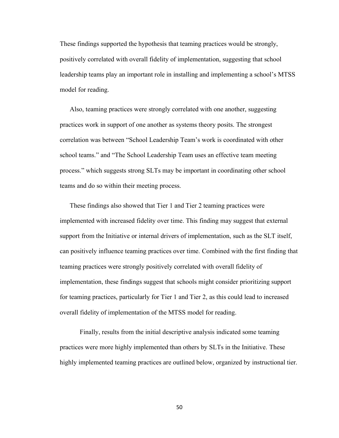These findings supported the hypothesis that teaming practices would be strongly, positively correlated with overall fidelity of implementation, suggesting that school leadership teams play an important role in installing and implementing a school's MTSS model for reading.

Also, teaming practices were strongly correlated with one another, suggesting practices work in support of one another as systems theory posits. The strongest correlation was between "School Leadership Team's work is coordinated with other school teams." and "The School Leadership Team uses an effective team meeting process." which suggests strong SLTs may be important in coordinating other school teams and do so within their meeting process.

These findings also showed that Tier 1 and Tier 2 teaming practices were implemented with increased fidelity over time. This finding may suggest that external support from the Initiative or internal drivers of implementation, such as the SLT itself, can positively influence teaming practices over time. Combined with the first finding that teaming practices were strongly positively correlated with overall fidelity of implementation, these findings suggest that schools might consider prioritizing support for teaming practices, particularly for Tier 1 and Tier 2, as this could lead to increased overall fidelity of implementation of the MTSS model for reading.

Finally, results from the initial descriptive analysis indicated some teaming practices were more highly implemented than others by SLTs in the Initiative. These highly implemented teaming practices are outlined below, organized by instructional tier.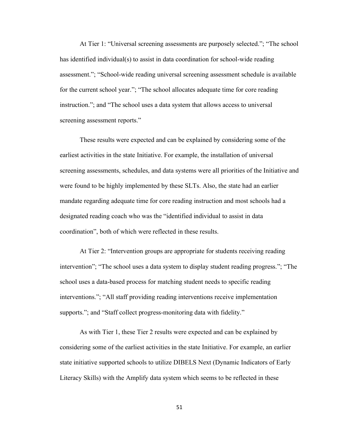At Tier 1: "Universal screening assessments are purposely selected."; "The school has identified individual(s) to assist in data coordination for school-wide reading assessment."; "School-wide reading universal screening assessment schedule is available for the current school year."; "The school allocates adequate time for core reading instruction."; and "The school uses a data system that allows access to universal screening assessment reports."

These results were expected and can be explained by considering some of the earliest activities in the state Initiative. For example, the installation of universal screening assessments, schedules, and data systems were all priorities of the Initiative and were found to be highly implemented by these SLTs. Also, the state had an earlier mandate regarding adequate time for core reading instruction and most schools had a designated reading coach who was the "identified individual to assist in data coordination", both of which were reflected in these results.

At Tier 2: "Intervention groups are appropriate for students receiving reading intervention"; "The school uses a data system to display student reading progress."; "The school uses a data-based process for matching student needs to specific reading interventions."; "All staff providing reading interventions receive implementation supports."; and "Staff collect progress-monitoring data with fidelity."

As with Tier 1, these Tier 2 results were expected and can be explained by considering some of the earliest activities in the state Initiative. For example, an earlier state initiative supported schools to utilize DIBELS Next (Dynamic Indicators of Early Literacy Skills) with the Amplify data system which seems to be reflected in these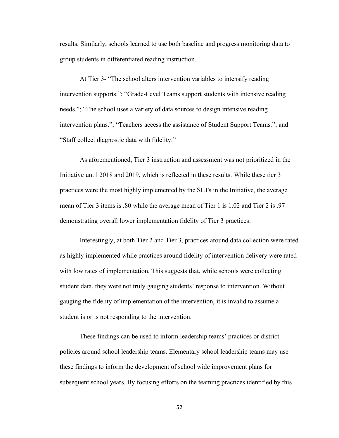results. Similarly, schools learned to use both baseline and progress monitoring data to group students in differentiated reading instruction.

At Tier 3- "The school alters intervention variables to intensify reading intervention supports."; "Grade-Level Teams support students with intensive reading needs."; "The school uses a variety of data sources to design intensive reading intervention plans."; "Teachers access the assistance of Student Support Teams."; and "Staff collect diagnostic data with fidelity."

As aforementioned, Tier 3 instruction and assessment was not prioritized in the Initiative until 2018 and 2019, which is reflected in these results. While these tier 3 practices were the most highly implemented by the SLTs in the Initiative, the average mean of Tier 3 items is .80 while the average mean of Tier 1 is 1.02 and Tier 2 is .97 demonstrating overall lower implementation fidelity of Tier 3 practices.

Interestingly, at both Tier 2 and Tier 3, practices around data collection were rated as highly implemented while practices around fidelity of intervention delivery were rated with low rates of implementation. This suggests that, while schools were collecting student data, they were not truly gauging students' response to intervention. Without gauging the fidelity of implementation of the intervention, it is invalid to assume a student is or is not responding to the intervention.

These findings can be used to inform leadership teams' practices or district policies around school leadership teams. Elementary school leadership teams may use these findings to inform the development of school wide improvement plans for subsequent school years. By focusing efforts on the teaming practices identified by this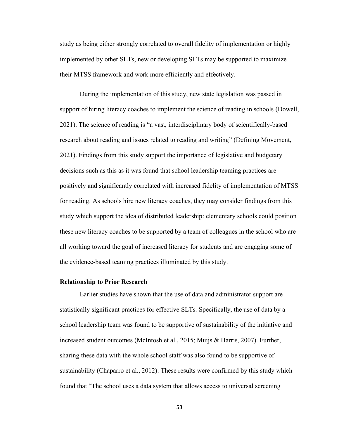study as being either strongly correlated to overall fidelity of implementation or highly implemented by other SLTs, new or developing SLTs may be supported to maximize their MTSS framework and work more efficiently and effectively.

During the implementation of this study, new state legislation was passed in support of hiring literacy coaches to implement the science of reading in schools (Dowell, 2021). The science of reading is "a vast, interdisciplinary body of scientifically-based research about reading and issues related to reading and writing" (Defining Movement, 2021). Findings from this study support the importance of legislative and budgetary decisions such as this as it was found that school leadership teaming practices are positively and significantly correlated with increased fidelity of implementation of MTSS for reading. As schools hire new literacy coaches, they may consider findings from this study which support the idea of distributed leadership: elementary schools could position these new literacy coaches to be supported by a team of colleagues in the school who are all working toward the goal of increased literacy for students and are engaging some of the evidence-based teaming practices illuminated by this study.

#### **Relationship to Prior Research**

Earlier studies have shown that the use of data and administrator support are statistically significant practices for effective SLTs. Specifically, the use of data by a school leadership team was found to be supportive of sustainability of the initiative and increased student outcomes (McIntosh et al., 2015; Muijs & Harris, 2007). Further, sharing these data with the whole school staff was also found to be supportive of sustainability (Chaparro et al., 2012). These results were confirmed by this study which found that "The school uses a data system that allows access to universal screening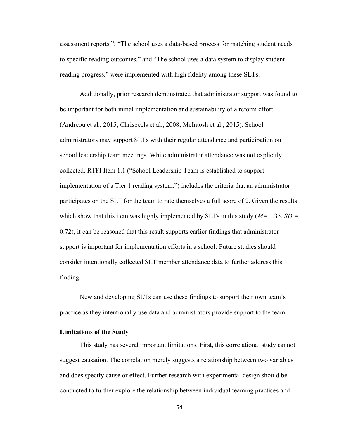assessment reports."; "The school uses a data-based process for matching student needs to specific reading outcomes." and "The school uses a data system to display student reading progress." were implemented with high fidelity among these SLTs.

Additionally, prior research demonstrated that administrator support was found to be important for both initial implementation and sustainability of a reform effort (Andreou et al., 2015; Chrispeels et al., 2008; McIntosh et al., 2015). School administrators may support SLTs with their regular attendance and participation on school leadership team meetings. While administrator attendance was not explicitly collected, RTFI Item 1.1 ("School Leadership Team is established to support implementation of a Tier 1 reading system.") includes the criteria that an administrator participates on the SLT for the team to rate themselves a full score of 2. Given the results which show that this item was highly implemented by SLTs in this study (*M=* 1.35, *SD =* 0.72), it can be reasoned that this result supports earlier findings that administrator support is important for implementation efforts in a school. Future studies should consider intentionally collected SLT member attendance data to further address this finding.

New and developing SLTs can use these findings to support their own team's practice as they intentionally use data and administrators provide support to the team.

#### **Limitations of the Study**

This study has several important limitations. First, this correlational study cannot suggest causation. The correlation merely suggests a relationship between two variables and does specify cause or effect. Further research with experimental design should be conducted to further explore the relationship between individual teaming practices and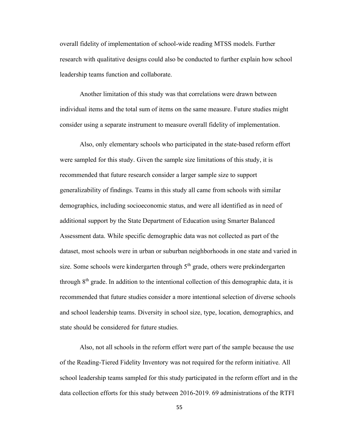overall fidelity of implementation of school-wide reading MTSS models. Further research with qualitative designs could also be conducted to further explain how school leadership teams function and collaborate.

Another limitation of this study was that correlations were drawn between individual items and the total sum of items on the same measure. Future studies might consider using a separate instrument to measure overall fidelity of implementation.

Also, only elementary schools who participated in the state-based reform effort were sampled for this study. Given the sample size limitations of this study, it is recommended that future research consider a larger sample size to support generalizability of findings. Teams in this study all came from schools with similar demographics, including socioeconomic status, and were all identified as in need of additional support by the State Department of Education using Smarter Balanced Assessment data. While specific demographic data was not collected as part of the dataset, most schools were in urban or suburban neighborhoods in one state and varied in size. Some schools were kindergarten through  $5<sup>th</sup>$  grade, others were prekindergarten through  $8<sup>th</sup>$  grade. In addition to the intentional collection of this demographic data, it is recommended that future studies consider a more intentional selection of diverse schools and school leadership teams. Diversity in school size, type, location, demographics, and state should be considered for future studies.

Also, not all schools in the reform effort were part of the sample because the use of the Reading-Tiered Fidelity Inventory was not required for the reform initiative. All school leadership teams sampled for this study participated in the reform effort and in the data collection efforts for this study between 2016-2019. 69 administrations of the RTFI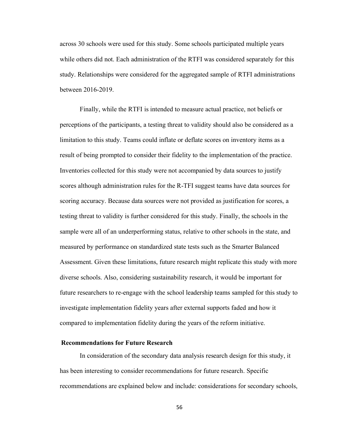across 30 schools were used for this study. Some schools participated multiple years while others did not. Each administration of the RTFI was considered separately for this study. Relationships were considered for the aggregated sample of RTFI administrations between 2016-2019.

Finally, while the RTFI is intended to measure actual practice, not beliefs or perceptions of the participants, a testing threat to validity should also be considered as a limitation to this study. Teams could inflate or deflate scores on inventory items as a result of being prompted to consider their fidelity to the implementation of the practice. Inventories collected for this study were not accompanied by data sources to justify scores although administration rules for the R-TFI suggest teams have data sources for scoring accuracy. Because data sources were not provided as justification for scores, a testing threat to validity is further considered for this study. Finally, the schools in the sample were all of an underperforming status, relative to other schools in the state, and measured by performance on standardized state tests such as the Smarter Balanced Assessment. Given these limitations, future research might replicate this study with more diverse schools. Also, considering sustainability research, it would be important for future researchers to re-engage with the school leadership teams sampled for this study to investigate implementation fidelity years after external supports faded and how it compared to implementation fidelity during the years of the reform initiative.

#### **Recommendations for Future Research**

In consideration of the secondary data analysis research design for this study, it has been interesting to consider recommendations for future research. Specific recommendations are explained below and include: considerations for secondary schools,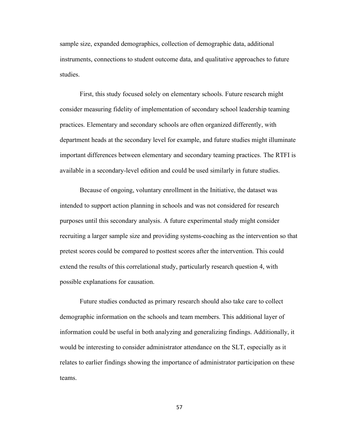sample size, expanded demographics, collection of demographic data, additional instruments, connections to student outcome data, and qualitative approaches to future studies.

First, this study focused solely on elementary schools. Future research might consider measuring fidelity of implementation of secondary school leadership teaming practices. Elementary and secondary schools are often organized differently, with department heads at the secondary level for example, and future studies might illuminate important differences between elementary and secondary teaming practices. The RTFI is available in a secondary-level edition and could be used similarly in future studies.

Because of ongoing, voluntary enrollment in the Initiative, the dataset was intended to support action planning in schools and was not considered for research purposes until this secondary analysis. A future experimental study might consider recruiting a larger sample size and providing systems-coaching as the intervention so that pretest scores could be compared to posttest scores after the intervention. This could extend the results of this correlational study, particularly research question 4, with possible explanations for causation.

Future studies conducted as primary research should also take care to collect demographic information on the schools and team members. This additional layer of information could be useful in both analyzing and generalizing findings. Additionally, it would be interesting to consider administrator attendance on the SLT, especially as it relates to earlier findings showing the importance of administrator participation on these teams.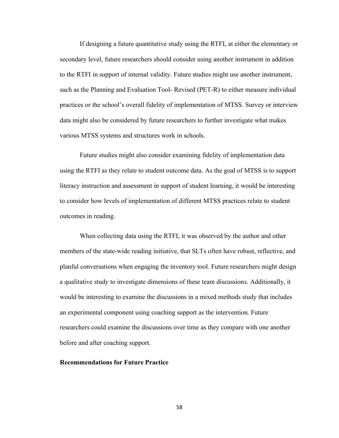If designing a future quantitative study using the RTFI, at either the elementary or secondary level, future researchers should consider using another instrument in addition to the RTFI in support of internal validity. Future studies might use another instrument, such as the Planning and Evaluation Tool- Revised (PET-R) to either measure individual practices or the school's overall fidelity of implementation of MTSS. Survey or interview data might also be considered by future researchers to further investigate what makes various MTSS systems and structures work in schools.

Future studies might also consider examining fidelity of implementation data using the RTFI as they relate to student outcome data. As the goal of MTSS is to support literacy instruction and assessment in support of student learning, it would be interesting to consider how levels of implementation of different MTSS practices relate to student outcomes in reading.

When collecting data using the RTFI, it was observed by the author and other members of the state-wide reading initiative, that SLTs often have robust, reflective, and planful conversations when engaging the inventory tool. Future researchers might design a qualitative study to investigate dimensions of these team discussions. Additionally, it would be interesting to examine the discussions in a mixed methods study that includes an experimental component using coaching support as the intervention. Future researchers could examine the discussions over time as they compare with one another before and after coaching support.

### **Recommendations for Future Practice**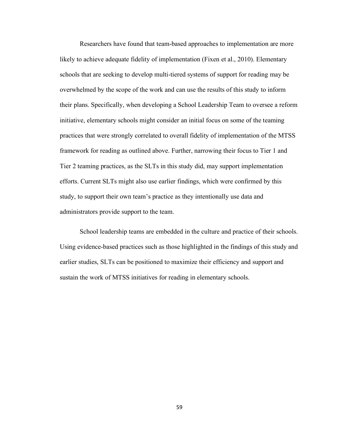Researchers have found that team-based approaches to implementation are more likely to achieve adequate fidelity of implementation (Fixen et al., 2010). Elementary schools that are seeking to develop multi-tiered systems of support for reading may be overwhelmed by the scope of the work and can use the results of this study to inform their plans. Specifically, when developing a School Leadership Team to oversee a reform initiative, elementary schools might consider an initial focus on some of the teaming practices that were strongly correlated to overall fidelity of implementation of the MTSS framework for reading as outlined above. Further, narrowing their focus to Tier 1 and Tier 2 teaming practices, as the SLTs in this study did, may support implementation efforts. Current SLTs might also use earlier findings, which were confirmed by this study, to support their own team's practice as they intentionally use data and administrators provide support to the team.

School leadership teams are embedded in the culture and practice of their schools. Using evidence-based practices such as those highlighted in the findings of this study and earlier studies, SLTs can be positioned to maximize their efficiency and support and sustain the work of MTSS initiatives for reading in elementary schools.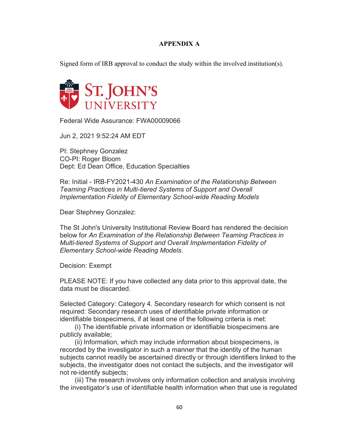# **APPENDIX A**

Signed form of IRB approval to conduct the study within the involved institution(s).



Federal Wide Assurance: FWA00009066

Jun 2, 2021 9:52:24 AM EDT

PI: Stephney Gonzalez CO-PI: Roger Bloom Dept: Ed Dean Office, Education Specialties

Re: Initial - IRB-FY2021-430 *An Examination of the Relationship Between Teaming Practices in Multi-tiered Systems of Support and Overall Implementation Fidelity of Elementary School-wide Reading Models*

Dear Stephney Gonzalez:

The St John's University Institutional Review Board has rendered the decision below for *An Examination of the Relationship Between Teaming Practices in Multi-tiered Systems of Support and Overall Implementation Fidelity of Elementary School-wide Reading Models*.

Decision: Exempt

PLEASE NOTE: If you have collected any data prior to this approval date, the data must be discarded.

Selected Category: Category 4. Secondary research for which consent is not required: Secondary research uses of identifiable private information or identifiable biospecimens, if at least one of the following criteria is met:

 (i) The identifiable private information or identifiable biospecimens are publicly available;

 (ii) Information, which may include information about biospecimens, is recorded by the investigator in such a manner that the identity of the human subjects cannot readily be ascertained directly or through identifiers linked to the subjects, the investigator does not contact the subjects, and the investigator will not re-identify subjects;

 (iii) The research involves only information collection and analysis involving the investigator's use of identifiable health information when that use is regulated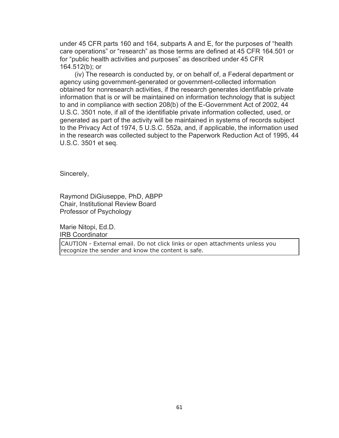under 45 CFR parts 160 and 164, subparts A and E, for the purposes of "health care operations" or "research" as those terms are defined at 45 CFR 164.501 or for "public health activities and purposes" as described under 45 CFR 164.512(b); or

 (iv) The research is conducted by, or on behalf of, a Federal department or agency using government-generated or government-collected information obtained for nonresearch activities, if the research generates identifiable private information that is or will be maintained on information technology that is subject to and in compliance with section 208(b) of the E-Government Act of 2002, 44 U.S.C. 3501 note, if all of the identifiable private information collected, used, or generated as part of the activity will be maintained in systems of records subject to the Privacy Act of 1974, 5 U.S.C. 552a, and, if applicable, the information used in the research was collected subject to the Paperwork Reduction Act of 1995, 44 U.S.C. 3501 et seq.

Sincerely,

Raymond DiGiuseppe, PhD, ABPP Chair, Institutional Review Board Professor of Psychology

Marie Nitopi, Ed.D. IRB Coordinator

CAUTION - External email. Do not click links or open attachments unless you recognize the sender and know the content is safe.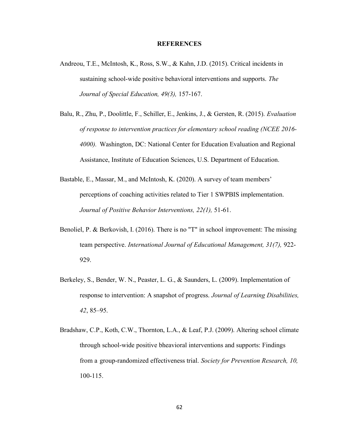#### **REFERENCES**

- Andreou, T.E., McIntosh, K., Ross, S.W., & Kahn, J.D. (2015). Critical incidents in sustaining school-wide positive behavioral interventions and supports. *The Journal of Special Education, 49(3),* 157-167.
- Balu, R., Zhu, P., Doolittle, F., Schiller, E., Jenkins, J., & Gersten, R. (2015). *Evaluation of response to intervention practices for elementary school reading (NCEE 2016- 4000).* Washington, DC: National Center for Education Evaluation and Regional Assistance, Institute of Education Sciences, U.S. Department of Education.
- Bastable, E., Massar, M., and McIntosh, K. (2020). A survey of team members' perceptions of coaching activities related to Tier 1 SWPBIS implementation. *Journal of Positive Behavior Interventions, 22(1),* 51-61.
- Benoliel, P. & Berkovish, I. (2016). There is no "T" in school improvement: The missing team perspective. *International Journal of Educational Management, 31(7),* 922- 929.
- Berkeley, S., Bender, W. N., Peaster, L. G., & Saunders, L. (2009). Implementation of response to intervention: A snapshot of progress. *Journal of Learning Disabilities, 42*, 85–95.
- Bradshaw, C.P., Koth, C.W., Thornton, L.A., & Leaf, P.J. (2009). Altering school climate through school-wide positive bheavioral interventions and supports: Findings from a group-randomized effectiveness trial. *Society for Prevention Research, 10,* 100-115.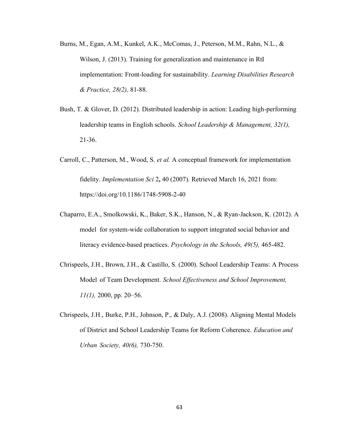- Burns, M., Egan, A.M., Kunkel, A.K., McComas, J., Peterson, M.M., Rahn, N.L., & Wilson, J. (2013). Training for generalization and maintenance in RtI implementation: Front-loading for sustainability. *Learning Disabilities Research & Practice, 28(2),* 81-88.
- Bush, T. & Glover, D. (2012). Distributed leadership in action: Leading high-performing leadership teams in English schools. *School Leadership & Management, 32(1),* 21-36.
- Carroll, C., Patterson, M., Wood, S. *et al.* A conceptual framework for implementation fidelity. *Implementation Sci* 2**,** 40 (2007). Retrieved March 16, 2021 from: https://doi.org/10.1186/1748-5908-2-40
- Chaparro, E.A., Smolkowski, K., Baker, S.K., Hanson, N., & Ryan-Jackson, K. (2012). A model for system-wide collaboration to support integrated social behavior and literacy evidence-based practices. *Psychology in the Schools, 49(5),* 465-482.
- Chrispeels, J.H., Brown, J.H., & Castillo, S. (2000). School Leadership Teams: A Process Model of Team Development. *School Effectiveness and School Improvement, 11(1),* 2000, pp. 20–56.
- Chrispeels, J.H., Burke, P.H., Johnson, P., & Daly, A.J. (2008). Aligning Mental Models of District and School Leadership Teams for Reform Coherence. *Education and Urban Society, 40(6),* 730-750.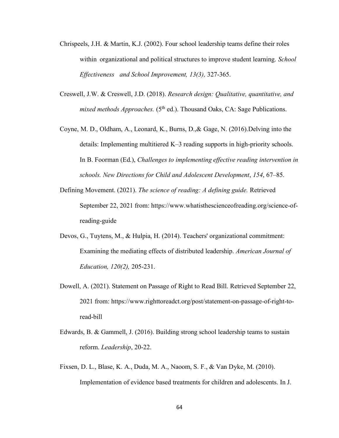- Chrispeels, J.H. & Martin, K.J. (2002). Four school leadership teams define their roles within organizational and political structures to improve student learning. *School Effectiveness and School Improvement, 13(3),* 327-365.
- Creswell, J.W. & Creswell, J.D. (2018). *Research design: Qualitative, quantitative, and mixed methods Approaches.* (5<sup>th</sup> ed.). Thousand Oaks, CA: Sage Publications.
- Coyne, M. D., Oldham, A., Leonard, K., Burns, D.,& Gage, N. (2016).Delving into the details: Implementing multitiered K–3 reading supports in high-priority schools. In B. Foorman (Ed.), *Challenges to implementing effective reading intervention in schools. New Directions for Child and Adolescent Development*, *154*, 67–85.
- Defining Movement. (2021). *The science of reading: A defining guide.* Retrieved September 22, 2021 from: https://www.whatisthescienceofreading.org/science-ofreading-guide
- Devos, G., Tuytens, M., & Hulpia, H. (2014). Teachers' organizational commitment: Examining the mediating effects of distributed leadership. *American Journal of Education, 120(2),* 205-231.
- Dowell, A. (2021). Statement on Passage of Right to Read Bill. Retrieved September 22, 2021 from: https://www.righttoreadct.org/post/statement-on-passage-of-right-toread-bill
- Edwards, B. & Gammell, J. (2016). Building strong school leadership teams to sustain reform. *Leadership*, 20-22.
- Fixsen, D. L., Blase, K. A., Duda, M. A., Naoom, S. F., & Van Dyke, M. (2010). Implementation of evidence based treatments for children and adolescents. In J.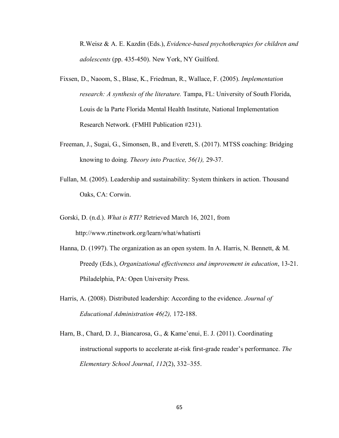R.Weisz & A. E. Kazdin (Eds.), *Evidence-based psychotherapies for children and adolescents* (pp. 435-450). New York, NY Guilford.

- Fixsen, D., Naoom, S., Blase, K., Friedman, R., Wallace, F. (2005). *Implementation research: A synthesis of the literature.* Tampa, FL: University of South Florida, Louis de la Parte Florida Mental Health Institute, National Implementation Research Network. (FMHI Publication #231).
- Freeman, J., Sugai, G., Simonsen, B., and Everett, S. (2017). MTSS coaching: Bridging knowing to doing. *Theory into Practice, 56(1),* 29-37.
- Fullan, M. (2005). Leadership and sustainability: System thinkers in action. Thousand Oaks, CA: Corwin.
- Gorski, D. (n.d.). *What is RTI?* Retrieved March 16, 2021, from http://www.rtinetwork.org/learn/what/whatisrti
- Hanna, D. (1997). The organization as an open system. In A. Harris, N. Bennett,  $\& M$ . Preedy (Eds.), *Organizational effectiveness and improvement in education*, 13-21. Philadelphia, PA: Open University Press.
- Harris, A. (2008). Distributed leadership: According to the evidence. *Journal of Educational Administration 46(2),* 172-188.
- Harn, B., Chard, D. J., Biancarosa, G., & Kame'enui, E. J. (2011). Coordinating instructional supports to accelerate at-risk first-grade reader's performance. *The Elementary School Journal*, *112*(2), 332–355.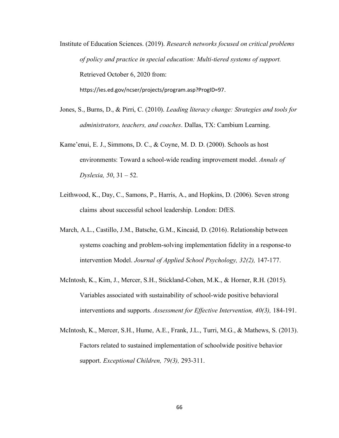Institute of Education Sciences. (2019). *Research networks focused on critical problems of policy and practice in special education: Multi-tiered systems of support.* Retrieved October 6, 2020 from: https://ies.ed.gov/ncser/projects/program.asp?ProgID=97.

- Jones, S., Burns, D., & Pirri, C. (2010). *Leading literacy change: Strategies and tools for administrators, teachers, and coaches*. Dallas, TX: Cambium Learning.
- Kame'enui, E. J., Simmons, D. C., & Coyne, M. D. D. (2000). Schools as host environments: Toward a school-wide reading improvement model. *Annals of Dyslexia, 50*, 31 – 52.
- Leithwood, K., Day, C., Samons, P., Harris, A., and Hopkins, D. (2006). Seven strong claims about successful school leadership. London: DfES.
- March, A.L., Castillo, J.M., Batsche, G.M., Kincaid, D. (2016). Relationship between systems coaching and problem-solving implementation fidelity in a response-to intervention Model. *Journal of Applied School Psychology, 32(2),* 147-177.
- McIntosh, K., Kim, J., Mercer, S.H., Stickland-Cohen, M.K., & Horner, R.H. (2015). Variables associated with sustainability of school-wide positive behavioral interventions and supports. *Assessment for Effective Intervention, 40(3),* 184-191.
- McIntosh, K., Mercer, S.H., Hume, A.E., Frank, J.L., Turri, M.G., & Mathews, S. (2013). Factors related to sustained implementation of schoolwide positive behavior support. *Exceptional Children, 79(3),* 293-311.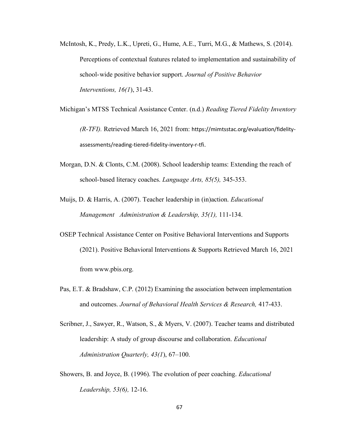- McIntosh, K., Predy, L.K., Upreti, G., Hume, A.E., Turri, M.G., & Mathews, S. (2014). Perceptions of contextual features related to implementation and sustainability of school-wide positive behavior support. *Journal of Positive Behavior Interventions, 16(1*), 31-43.
- Michigan's MTSS Technical Assistance Center. (n.d.) *Reading Tiered Fidelity Inventory (R-TFI).* Retrieved March 16, 2021 from: https://mimtsstac.org/evaluation/fidelityassessments/reading-tiered-fidelity-inventory-r-tfi.
- Morgan, D.N. & Clonts, C.M. (2008). School leadership teams: Extending the reach of school-based literacy coaches. *Language Arts, 85(5),* 345-353.
- Muijs, D. & Harris, A. (2007). Teacher leadership in (in)action. *Educational Management Administration & Leadership, 35(1),* 111-134.
- OSEP Technical Assistance Center on Positive Behavioral Interventions and Supports (2021). Positive Behavioral Interventions & Supports Retrieved March 16, 2021 from www.pbis.org.
- Pas, E.T. & Bradshaw, C.P. (2012) Examining the association between implementation and outcomes. *Journal of Behavioral Health Services & Research,* 417-433.
- Scribner, J., Sawyer, R., Watson, S., & Myers, V. (2007). Teacher teams and distributed leadership: A study of group discourse and collaboration. *Educational Administration Quarterly, 43(1*), 67–100.
- Showers, B. and Joyce, B. (1996). The evolution of peer coaching. *Educational Leadership, 53(6),* 12-16.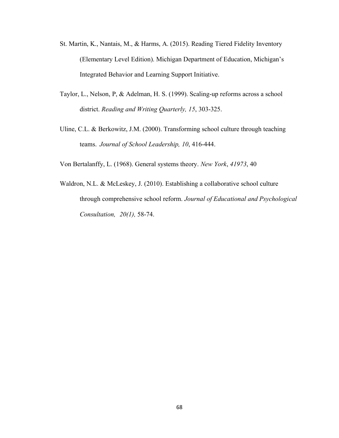- St. Martin, K., Nantais, M., & Harms, A. (2015). Reading Tiered Fidelity Inventory (Elementary Level Edition). Michigan Department of Education, Michigan's Integrated Behavior and Learning Support Initiative.
- Taylor, L., Nelson, P, & Adelman, H. S. (1999). Scaling-up reforms across a school district. *Reading and Writing Quarterly, 15*, 303-325.
- Uline, C.L. & Berkowitz, J.M. (2000). Transforming school culture through teaching teams. *Journal of School Leadership, 10*, 416-444.

Von Bertalanffy, L. (1968). General systems theory. *New York*, *41973*, 40

Waldron, N.L. & McLeskey, J. (2010). Establishing a collaborative school culture through comprehensive school reform. *Journal of Educational and Psychological Consultation, 20(1),* 58-74.